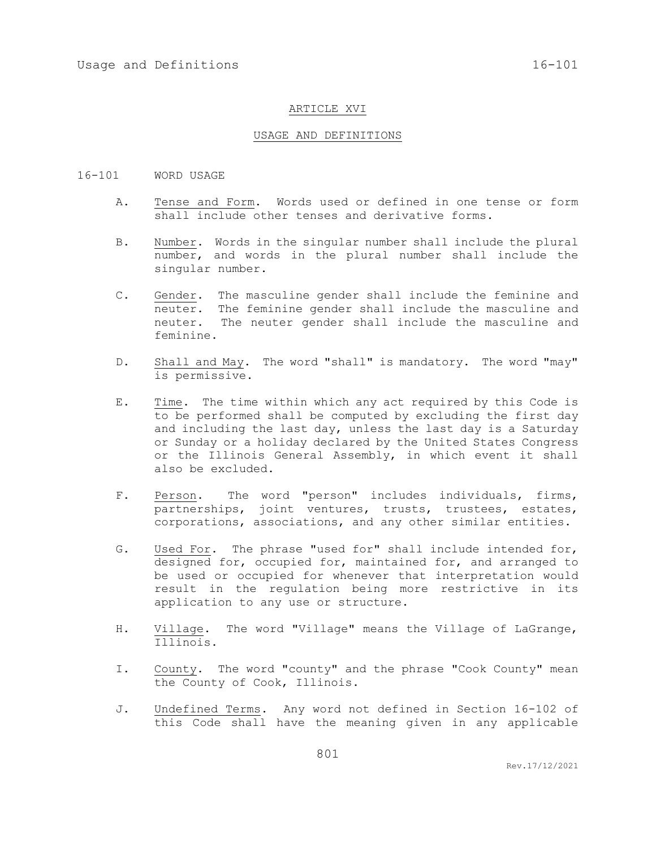#### ARTICLE XVI

## USAGE AND DEFINITIONS

### 16-101 WORD USAGE

- A. Tense and Form. Words used or defined in one tense or form shall include other tenses and derivative forms.
- B. Number. Words in the singular number shall include the plural number, and words in the plural number shall include the singular number.
- C. Gender. The masculine gender shall include the feminine and neuter. The feminine gender shall include the masculine and neuter. The neuter gender shall include the masculine and feminine.
- D. Shall and May. The word "shall" is mandatory. The word "may" is permissive.
- E. Time. The time within which any act required by this Code is to be performed shall be computed by excluding the first day and including the last day, unless the last day is a Saturday or Sunday or a holiday declared by the United States Congress or the Illinois General Assembly, in which event it shall also be excluded.
- F. Person. The word "person" includes individuals, firms, partnerships, joint ventures, trusts, trustees, estates, corporations, associations, and any other similar entities.
- G. Used For. The phrase "used for" shall include intended for, designed for, occupied for, maintained for, and arranged to be used or occupied for whenever that interpretation would result in the regulation being more restrictive in its application to any use or structure.
- H. Village. The word "Village" means the Village of LaGrange, Illinois.
- I. County. The word "county" and the phrase "Cook County" mean the County of Cook, Illinois.
- J. Undefined Terms. Any word not defined in Section 16-102 of this Code shall have the meaning given in any applicable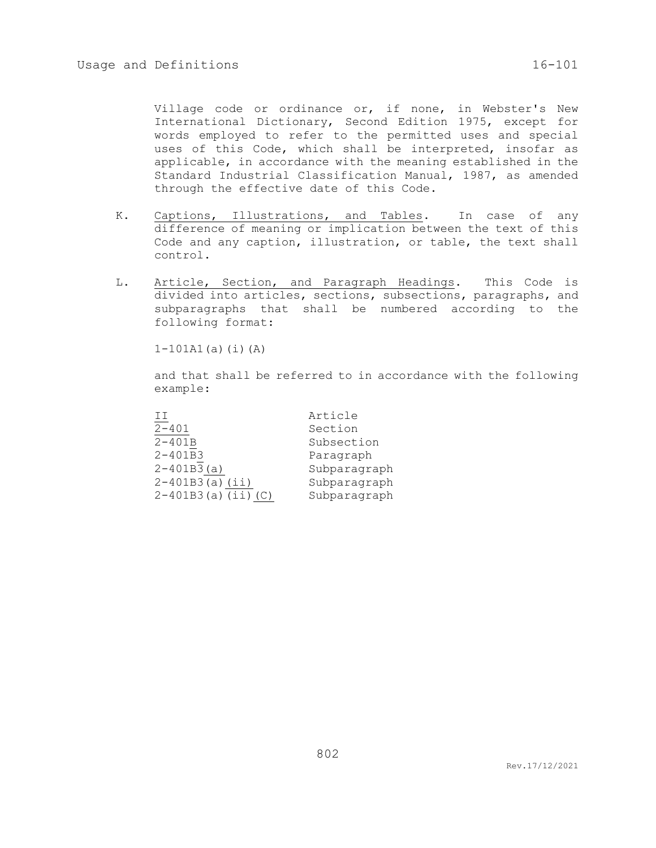Village code or ordinance or, if none, in Webster's New International Dictionary, Second Edition 1975, except for words employed to refer to the permitted uses and special uses of this Code, which shall be interpreted, insofar as applicable, in accordance with the meaning established in the Standard Industrial Classification Manual, 1987, as amended through the effective date of this Code.

- K. Captions, Illustrations, and Tables. In case of any difference of meaning or implication between the text of this Code and any caption, illustration, or table, the text shall control.
- L. Article, Section, and Paragraph Headings. This Code is divided into articles, sections, subsections, paragraphs, and subparagraphs that shall be numbered according to the following format:

 $1-101A1(a)$  $(i)$  $(A)$ 

and that shall be referred to in accordance with the following example:

| ТT                    | Article      |
|-----------------------|--------------|
| $2 - 401$             | Section      |
| $2 - 401B$            | Subsection   |
| $2 - 401B3$           | Paragraph    |
| $2 - 401B3(a)$        | Subparagraph |
| $2-401B3(a)$ (ii)     | Subparagraph |
| $2-401B3(a)$ (ii) (C) | Subparagraph |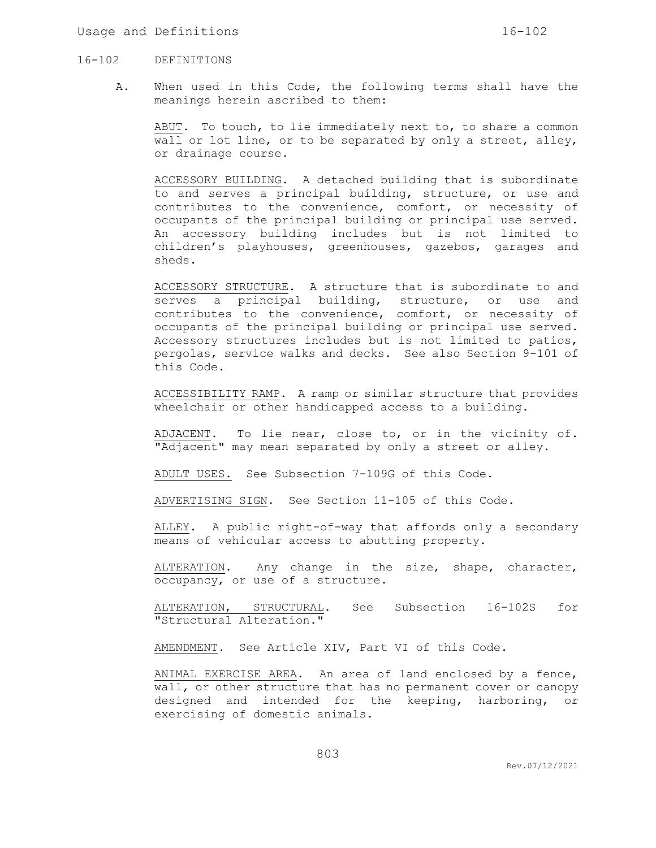#### Usage and Definitions  $16-102$

### 16-102 DEFINITIONS

A. When used in this Code, the following terms shall have the meanings herein ascribed to them:

ABUT. To touch, to lie immediately next to, to share a common wall or lot line, or to be separated by only a street, alley, or drainage course.

ACCESSORY BUILDING. A detached building that is subordinate to and serves a principal building, structure, or use and contributes to the convenience, comfort, or necessity of occupants of the principal building or principal use served. An accessory building includes but is not limited to children's playhouses, greenhouses, gazebos, garages and sheds.

ACCESSORY STRUCTURE. A structure that is subordinate to and serves a principal building, structure, or use and contributes to the convenience, comfort, or necessity of occupants of the principal building or principal use served. Accessory structures includes but is not limited to patios, pergolas, service walks and decks. See also Section 9-101 of this Code.

ACCESSIBILITY RAMP. A ramp or similar structure that provides wheelchair or other handicapped access to a building.

ADJACENT. To lie near, close to, or in the vicinity of. "Adjacent" may mean separated by only a street or alley.

ADULT USES. See Subsection 7-109G of this Code.

ADVERTISING SIGN. See Section 11-105 of this Code.

ALLEY. A public right-of-way that affords only a secondary means of vehicular access to abutting property.

ALTERATION. Any change in the size, shape, character, occupancy, or use of a structure.

ALTERATION, STRUCTURAL. See Subsection 16-102S for "Structural Alteration."

AMENDMENT. See Article XIV, Part VI of this Code.

ANIMAL EXERCISE AREA. An area of land enclosed by a fence, wall, or other structure that has no permanent cover or canopy designed and intended for the keeping, harboring, or exercising of domestic animals.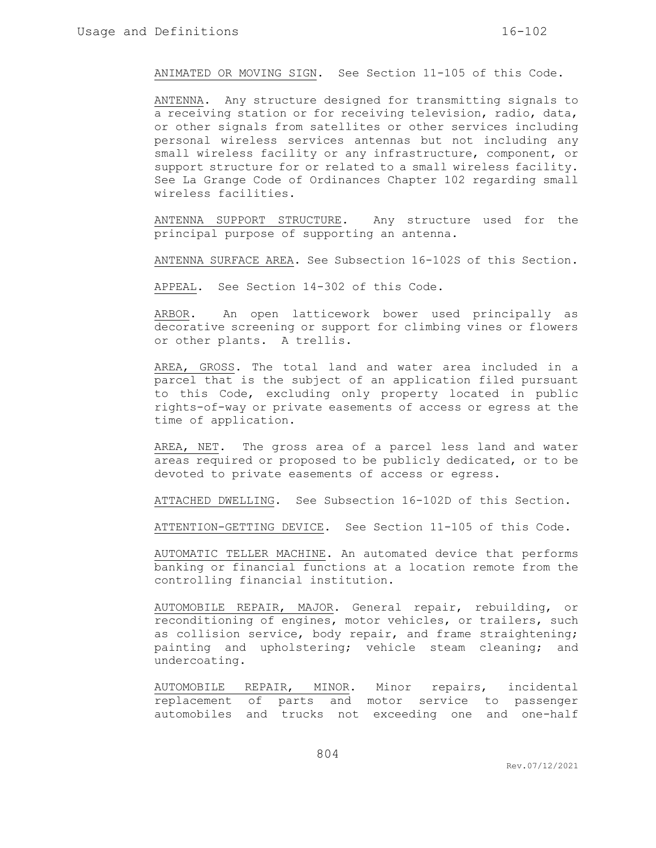ANIMATED OR MOVING SIGN. See Section 11-105 of this Code.

ANTENNA. Any structure designed for transmitting signals to a receiving station or for receiving television, radio, data, or other signals from satellites or other services including personal wireless services antennas but not including any small wireless facility or any infrastructure, component, or support structure for or related to a small wireless facility. See La Grange Code of Ordinances Chapter 102 regarding small wireless facilities.

ANTENNA SUPPORT STRUCTURE. Any structure used for the principal purpose of supporting an antenna.

ANTENNA SURFACE AREA. See Subsection 16-102S of this Section.

APPEAL. See Section 14-302 of this Code.

ARBOR. An open latticework bower used principally as decorative screening or support for climbing vines or flowers or other plants. A trellis.

AREA, GROSS. The total land and water area included in a parcel that is the subject of an application filed pursuant to this Code, excluding only property located in public rights-of-way or private easements of access or egress at the time of application.

AREA, NET. The gross area of a parcel less land and water areas required or proposed to be publicly dedicated, or to be devoted to private easements of access or egress.

ATTACHED DWELLING. See Subsection 16-102D of this Section.

ATTENTION-GETTING DEVICE. See Section 11-105 of this Code.

AUTOMATIC TELLER MACHINE. An automated device that performs banking or financial functions at a location remote from the controlling financial institution.

AUTOMOBILE REPAIR, MAJOR. General repair, rebuilding, or reconditioning of engines, motor vehicles, or trailers, such as collision service, body repair, and frame straightening; painting and upholstering; vehicle steam cleaning; and undercoating.

AUTOMOBILE REPAIR, MINOR. Minor repairs, incidental replacement of parts and motor service to passenger automobiles and trucks not exceeding one and one-half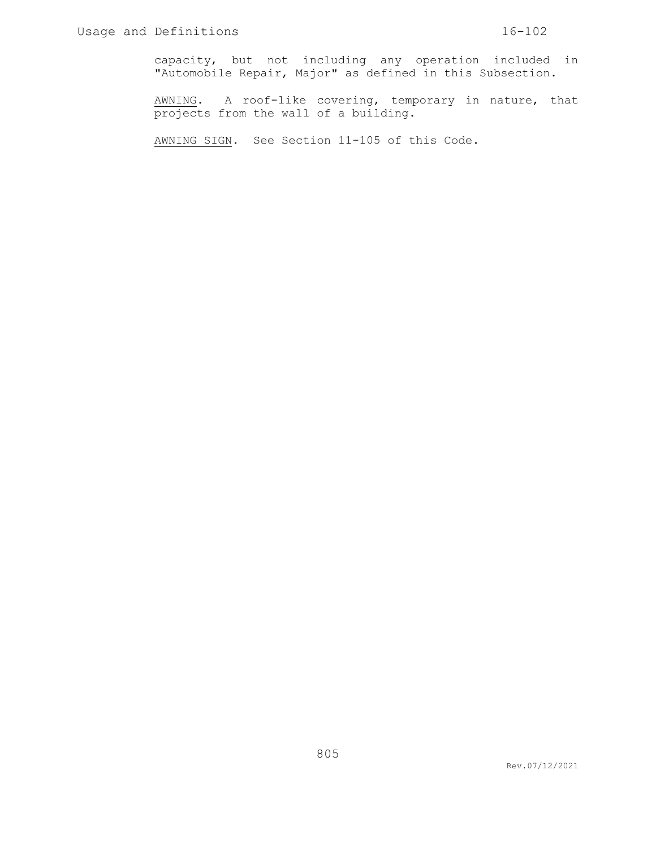capacity, but not including any operation included in "Automobile Repair, Major" as defined in this Subsection.

AWNING. A roof-like covering, temporary in nature, that projects from the wall of a building.

AWNING SIGN. See Section 11-105 of this Code.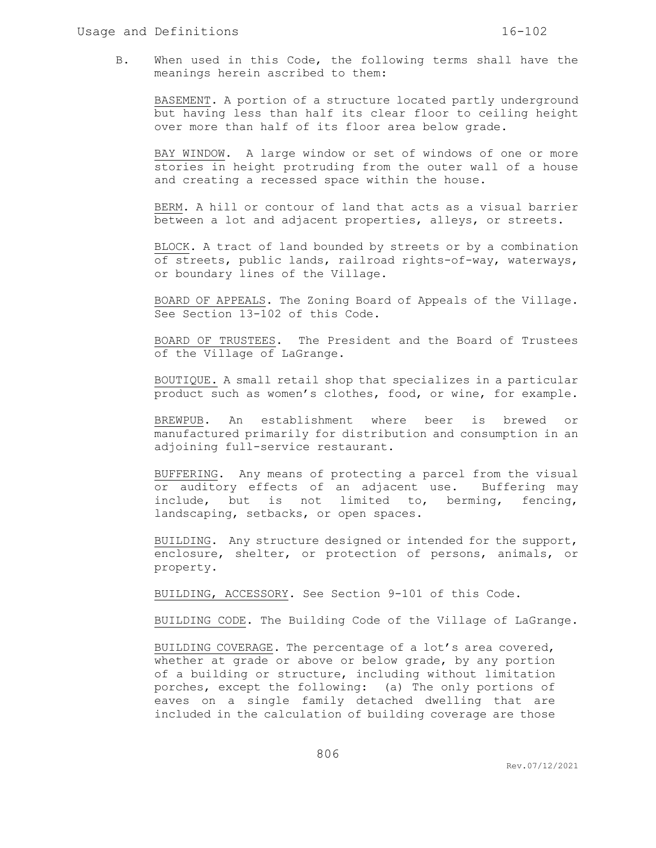B. When used in this Code, the following terms shall have the meanings herein ascribed to them:

BASEMENT. A portion of a structure located partly underground but having less than half its clear floor to ceiling height over more than half of its floor area below grade.

BAY WINDOW. A large window or set of windows of one or more stories in height protruding from the outer wall of a house and creating a recessed space within the house.

BERM. A hill or contour of land that acts as a visual barrier between a lot and adjacent properties, alleys, or streets.

BLOCK. A tract of land bounded by streets or by a combination of streets, public lands, railroad rights-of-way, waterways, or boundary lines of the Village.

BOARD OF APPEALS. The Zoning Board of Appeals of the Village. See Section 13-102 of this Code.

BOARD OF TRUSTEES. The President and the Board of Trustees of the Village of LaGrange.

BOUTIQUE. A small retail shop that specializes in a particular product such as women's clothes, food, or wine, for example.

BREWPUB. An establishment where beer is brewed or manufactured primarily for distribution and consumption in an adjoining full-service restaurant.

BUFFERING. Any means of protecting a parcel from the visual or auditory effects of an adjacent use. Buffering may include, but is not limited to, berming, fencing, landscaping, setbacks, or open spaces.

BUILDING. Any structure designed or intended for the support, enclosure, shelter, or protection of persons, animals, or property.

BUILDING, ACCESSORY. See Section 9-101 of this Code.

BUILDING CODE. The Building Code of the Village of LaGrange.

BUILDING COVERAGE. The percentage of a lot's area covered, whether at grade or above or below grade, by any portion of a building or structure, including without limitation porches, except the following: (a) The only portions of eaves on a single family detached dwelling that are included in the calculation of building coverage are those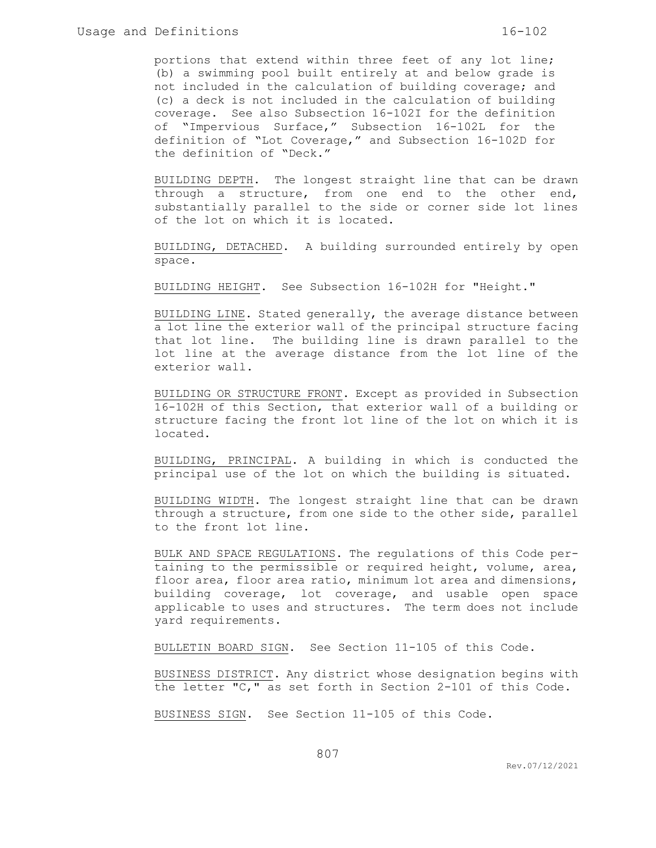portions that extend within three feet of any lot line; (b) a swimming pool built entirely at and below grade is not included in the calculation of building coverage; and (c) a deck is not included in the calculation of building coverage. See also Subsection 16-102I for the definition of "Impervious Surface," Subsection 16-102L for the definition of "Lot Coverage," and Subsection 16-102D for the definition of "Deck."

BUILDING DEPTH. The longest straight line that can be drawn through a structure, from one end to the other end, substantially parallel to the side or corner side lot lines of the lot on which it is located.

BUILDING, DETACHED. A building surrounded entirely by open space.

BUILDING HEIGHT. See Subsection 16-102H for "Height."

BUILDING LINE. Stated generally, the average distance between a lot line the exterior wall of the principal structure facing that lot line. The building line is drawn parallel to the lot line at the average distance from the lot line of the exterior wall.

BUILDING OR STRUCTURE FRONT. Except as provided in Subsection 16-102H of this Section, that exterior wall of a building or structure facing the front lot line of the lot on which it is located.

BUILDING, PRINCIPAL. A building in which is conducted the principal use of the lot on which the building is situated.

BUILDING WIDTH. The longest straight line that can be drawn through a structure, from one side to the other side, parallel to the front lot line.

BULK AND SPACE REGULATIONS. The regulations of this Code pertaining to the permissible or required height, volume, area, floor area, floor area ratio, minimum lot area and dimensions, building coverage, lot coverage, and usable open space applicable to uses and structures. The term does not include yard requirements.

BULLETIN BOARD SIGN. See Section 11-105 of this Code.

BUSINESS DISTRICT. Any district whose designation begins with the letter "C," as set forth in Section 2-101 of this Code.

BUSINESS SIGN. See Section 11-105 of this Code.

Rev.07/12/2021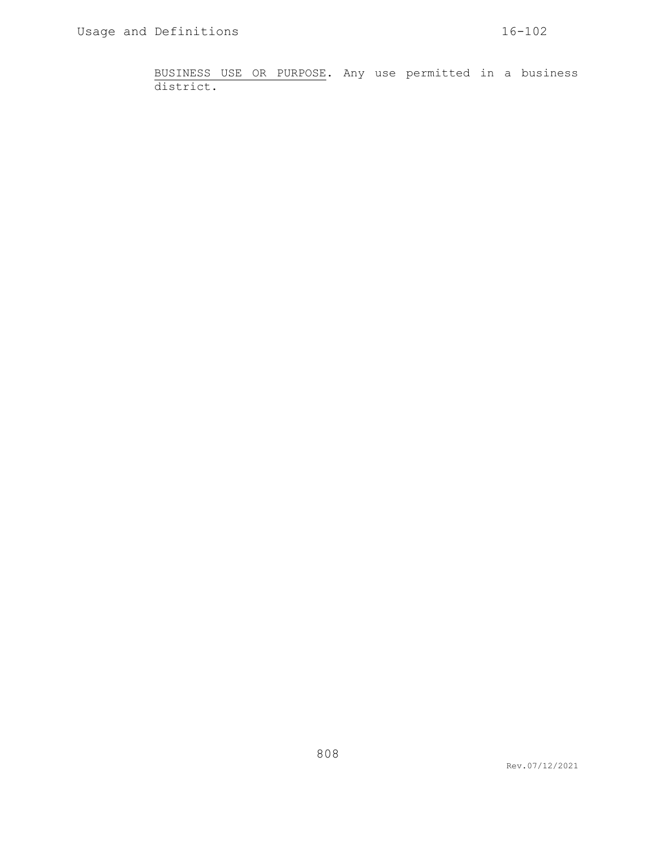BUSINESS USE OR PURPOSE. Any use permitted in a business district.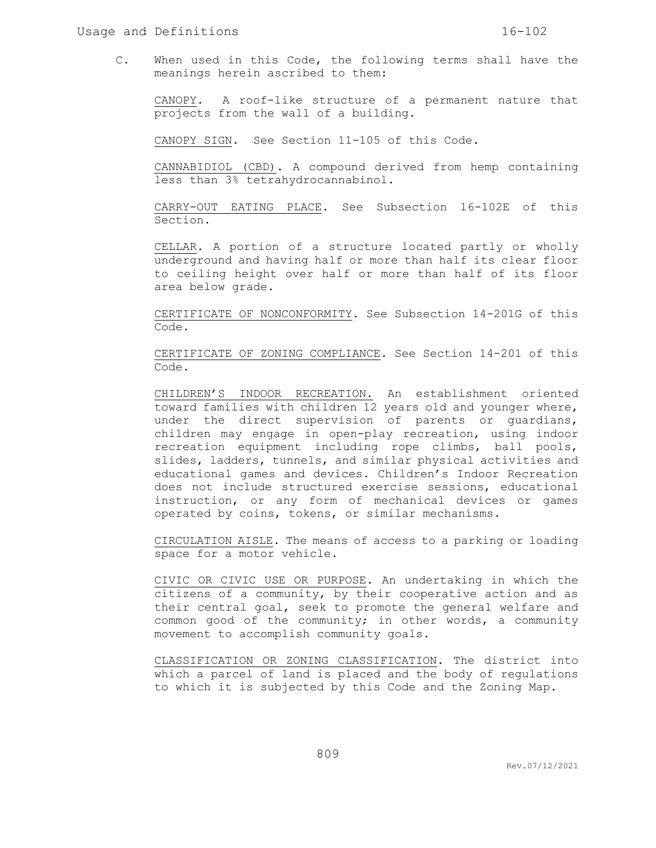C. When used in this Code, the following terms shall have the meanings herein ascribed to them:

CANOPY. A roof-like structure of a permanent nature that projects from the wall of a building.

CANOPY SIGN. See Section 11-105 of this Code.

CANNABIDIOL (CBD). A compound derived from hemp containing less than 3% tetrahydrocannabinol.

CARRY-OUT EATING PLACE. See Subsection 16-102E of this Section.

CELLAR. A portion of a structure located partly or wholly underground and having half or more than half its clear floor to ceiling height over half or more than half of its floor area below grade.

CERTIFICATE OF NONCONFORMITY. See Subsection 14-201G of this Code.

CERTIFICATE OF ZONING COMPLIANCE. See Section 14-201 of this Code.

CHILDREN'S INDOOR RECREATION. An establishment oriented toward families with children 12 years old and younger where, under the direct supervision of parents or guardians, children may engage in open-play recreation, using indoor recreation equipment including rope climbs, ball pools, slides, ladders, tunnels, and similar physical activities and educational games and devices. Children's Indoor Recreation does not include structured exercise sessions, educational instruction, or any form of mechanical devices or games operated by coins, tokens, or similar mechanisms.

CIRCULATION AISLE. The means of access to a parking or loading space for a motor vehicle.

CIVIC OR CIVIC USE OR PURPOSE. An undertaking in which the citizens of a community, by their cooperative action and as their central goal, seek to promote the general welfare and common good of the community; in other words, a community movement to accomplish community goals.

CLASSIFICATION OR ZONING CLASSIFICATION. The district into which a parcel of land is placed and the body of regulations to which it is subjected by this Code and the Zoning Map.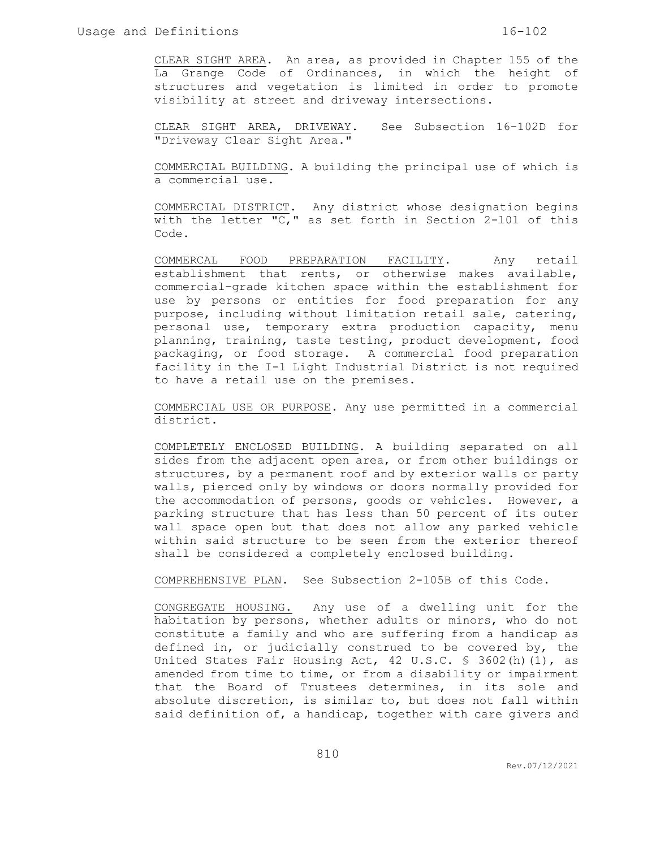CLEAR SIGHT AREA. An area, as provided in Chapter 155 of the La Grange Code of Ordinances, in which the height of structures and vegetation is limited in order to promote visibility at street and driveway intersections.

CLEAR SIGHT AREA, DRIVEWAY. See Subsection 16-102D for "Driveway Clear Sight Area."

COMMERCIAL BUILDING. A building the principal use of which is a commercial use.

COMMERCIAL DISTRICT. Any district whose designation begins with the letter "C," as set forth in Section 2-101 of this Code.

COMMERCAL FOOD PREPARATION FACILITY. Any retail establishment that rents, or otherwise makes available, commercial-grade kitchen space within the establishment for use by persons or entities for food preparation for any purpose, including without limitation retail sale, catering, personal use, temporary extra production capacity, menu planning, training, taste testing, product development, food packaging, or food storage. A commercial food preparation facility in the I-1 Light Industrial District is not required to have a retail use on the premises.

COMMERCIAL USE OR PURPOSE. Any use permitted in a commercial district.

COMPLETELY ENCLOSED BUILDING. A building separated on all sides from the adjacent open area, or from other buildings or structures, by a permanent roof and by exterior walls or party walls, pierced only by windows or doors normally provided for the accommodation of persons, goods or vehicles. However, a parking structure that has less than 50 percent of its outer wall space open but that does not allow any parked vehicle within said structure to be seen from the exterior thereof shall be considered a completely enclosed building.

COMPREHENSIVE PLAN. See Subsection 2-105B of this Code.

CONGREGATE HOUSING. Any use of a dwelling unit for the habitation by persons, whether adults or minors, who do not constitute a family and who are suffering from a handicap as defined in, or judicially construed to be covered by, the United States Fair Housing Act, 42 U.S.C. § 3602(h)(1), as amended from time to time, or from a disability or impairment that the Board of Trustees determines, in its sole and absolute discretion, is similar to, but does not fall within said definition of, a handicap, together with care givers and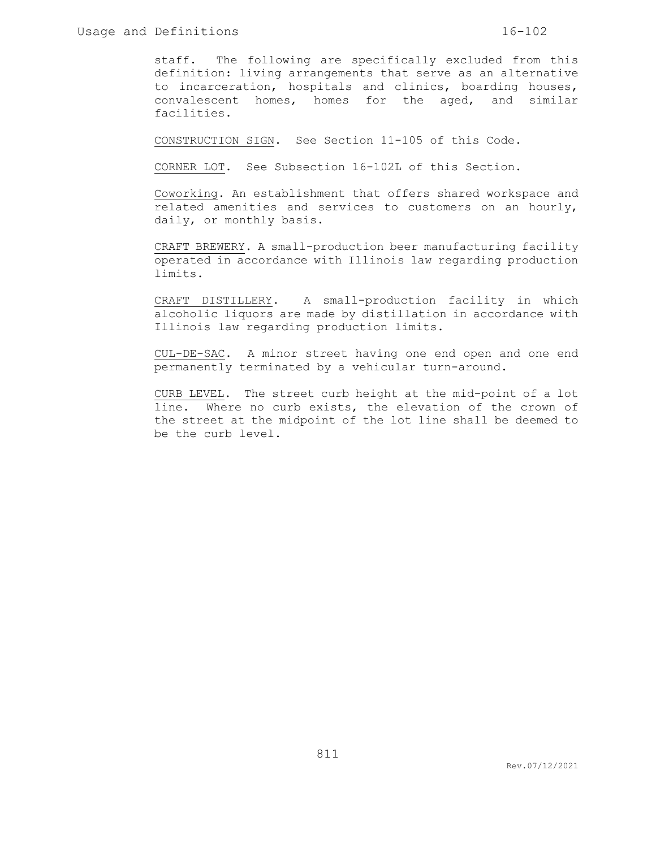staff. The following are specifically excluded from this definition: living arrangements that serve as an alternative to incarceration, hospitals and clinics, boarding houses, convalescent homes, homes for the aged, and similar facilities.

CONSTRUCTION SIGN. See Section 11-105 of this Code.

CORNER LOT. See Subsection 16-102L of this Section.

Coworking. An establishment that offers shared workspace and related amenities and services to customers on an hourly, daily, or monthly basis.

CRAFT BREWERY. A small-production beer manufacturing facility operated in accordance with Illinois law regarding production limits.

CRAFT DISTILLERY. A small-production facility in which alcoholic liquors are made by distillation in accordance with Illinois law regarding production limits.

CUL-DE-SAC. A minor street having one end open and one end permanently terminated by a vehicular turn-around.

CURB LEVEL. The street curb height at the mid-point of a lot line. Where no curb exists, the elevation of the crown of the street at the midpoint of the lot line shall be deemed to be the curb level.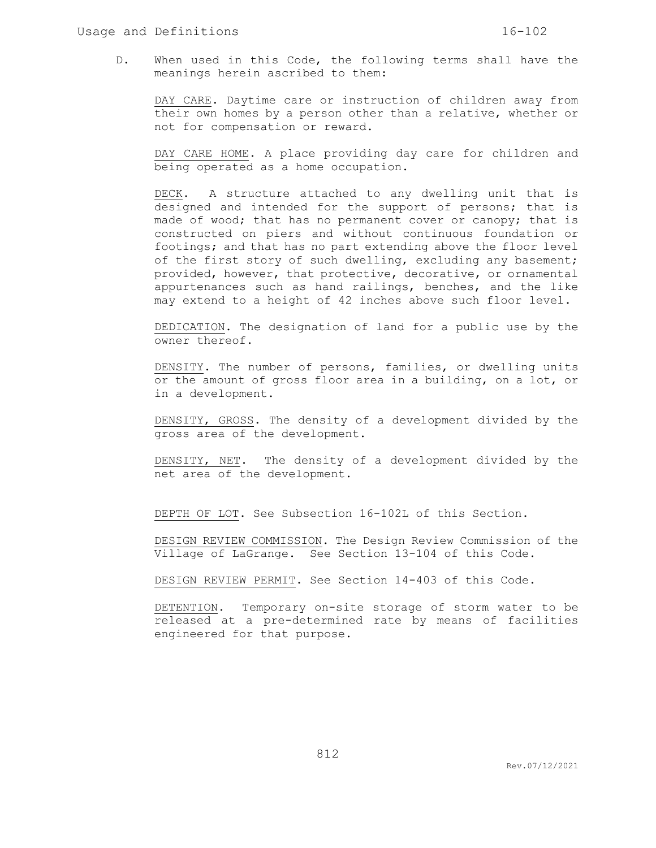D. When used in this Code, the following terms shall have the meanings herein ascribed to them:

DAY CARE. Daytime care or instruction of children away from their own homes by a person other than a relative, whether or not for compensation or reward.

DAY CARE HOME. A place providing day care for children and being operated as a home occupation.

DECK. A structure attached to any dwelling unit that is designed and intended for the support of persons; that is made of wood; that has no permanent cover or canopy; that is constructed on piers and without continuous foundation or footings; and that has no part extending above the floor level of the first story of such dwelling, excluding any basement; provided, however, that protective, decorative, or ornamental appurtenances such as hand railings, benches, and the like may extend to a height of 42 inches above such floor level.

DEDICATION. The designation of land for a public use by the owner thereof.

DENSITY. The number of persons, families, or dwelling units or the amount of gross floor area in a building, on a lot, or in a development.

DENSITY, GROSS. The density of a development divided by the gross area of the development.

DENSITY, NET. The density of a development divided by the net area of the development.

DEPTH OF LOT. See Subsection 16-102L of this Section.

DESIGN REVIEW COMMISSION. The Design Review Commission of the Village of LaGrange. See Section 13-104 of this Code.

DESIGN REVIEW PERMIT. See Section 14-403 of this Code.

DETENTION. Temporary on-site storage of storm water to be released at a pre-determined rate by means of facilities engineered for that purpose.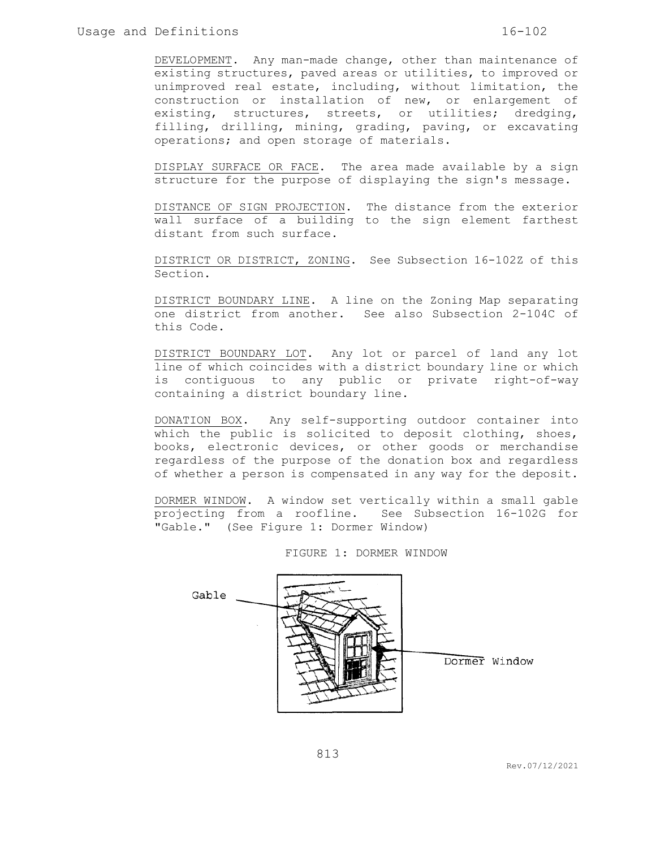DEVELOPMENT. Any man-made change, other than maintenance of existing structures, paved areas or utilities, to improved or unimproved real estate, including, without limitation, the construction or installation of new, or enlargement of existing, structures, streets, or utilities; dredging, filling, drilling, mining, grading, paving, or excavating operations; and open storage of materials.

DISPLAY SURFACE OR FACE. The area made available by a sign structure for the purpose of displaying the sign's message.

DISTANCE OF SIGN PROJECTION. The distance from the exterior wall surface of a building to the sign element farthest distant from such surface.

DISTRICT OR DISTRICT, ZONING. See Subsection 16-102Z of this Section.

DISTRICT BOUNDARY LINE. A line on the Zoning Map separating one district from another. See also Subsection 2-104C of this Code.

DISTRICT BOUNDARY LOT. Any lot or parcel of land any lot line of which coincides with a district boundary line or which is contiguous to any public or private right-of-way containing a district boundary line.

DONATION BOX. Any self-supporting outdoor container into which the public is solicited to deposit clothing, shoes, books, electronic devices, or other goods or merchandise regardless of the purpose of the donation box and regardless of whether a person is compensated in any way for the deposit.

DORMER WINDOW. A window set vertically within a small gable projecting from a roofline. See Subsection 16-102G for "Gable." (See Figure 1: Dormer Window)

FIGURE 1: DORMER WINDOW

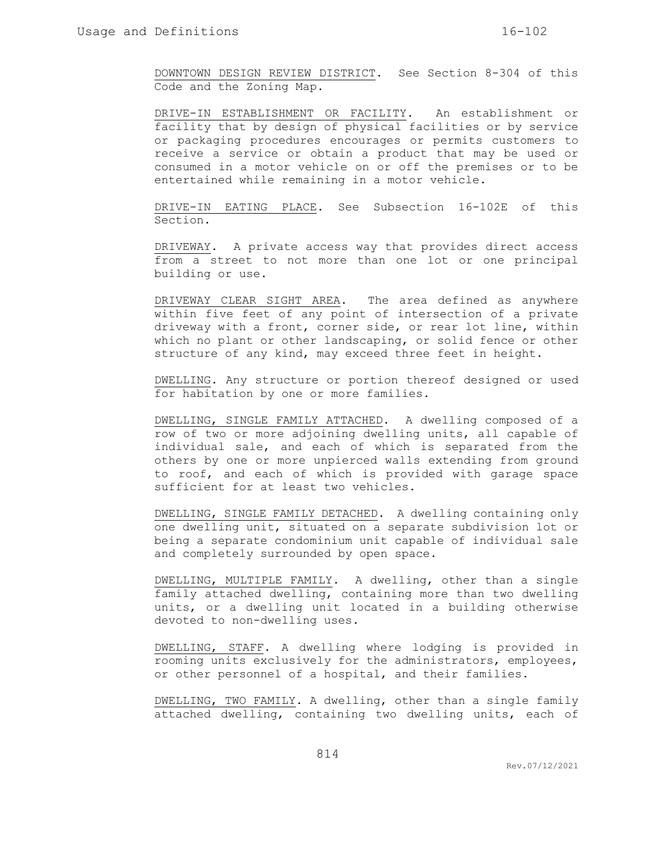DOWNTOWN DESIGN REVIEW DISTRICT. See Section 8-304 of this Code and the Zoning Map.

DRIVE-IN ESTABLISHMENT OR FACILITY. An establishment or facility that by design of physical facilities or by service or packaging procedures encourages or permits customers to receive a service or obtain a product that may be used or consumed in a motor vehicle on or off the premises or to be entertained while remaining in a motor vehicle.

DRIVE-IN EATING PLACE. See Subsection 16-102E of this Section.

DRIVEWAY. A private access way that provides direct access from a street to not more than one lot or one principal building or use.

DRIVEWAY CLEAR SIGHT AREA. The area defined as anywhere within five feet of any point of intersection of a private driveway with a front, corner side, or rear lot line, within which no plant or other landscaping, or solid fence or other structure of any kind, may exceed three feet in height.

DWELLING. Any structure or portion thereof designed or used for habitation by one or more families.

DWELLING, SINGLE FAMILY ATTACHED. A dwelling composed of a row of two or more adjoining dwelling units, all capable of individual sale, and each of which is separated from the others by one or more unpierced walls extending from ground to roof, and each of which is provided with garage space sufficient for at least two vehicles.

DWELLING, SINGLE FAMILY DETACHED. A dwelling containing only one dwelling unit, situated on a separate subdivision lot or being a separate condominium unit capable of individual sale and completely surrounded by open space.

DWELLING, MULTIPLE FAMILY. A dwelling, other than a single family attached dwelling, containing more than two dwelling units, or a dwelling unit located in a building otherwise devoted to non-dwelling uses.

DWELLING, STAFF. A dwelling where lodging is provided in rooming units exclusively for the administrators, employees, or other personnel of a hospital, and their families.

DWELLING, TWO FAMILY. A dwelling, other than a single family attached dwelling, containing two dwelling units, each of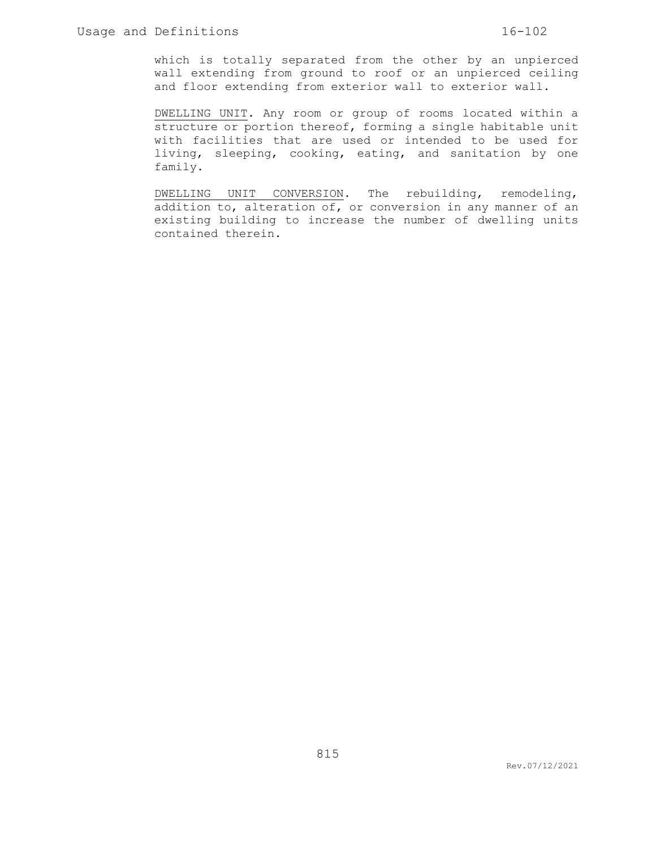which is totally separated from the other by an unpierced wall extending from ground to roof or an unpierced ceiling and floor extending from exterior wall to exterior wall.

DWELLING UNIT. Any room or group of rooms located within a structure or portion thereof, forming a single habitable unit with facilities that are used or intended to be used for living, sleeping, cooking, eating, and sanitation by one family.

DWELLING UNIT CONVERSION. The rebuilding, remodeling, addition to, alteration of, or conversion in any manner of an existing building to increase the number of dwelling units contained therein.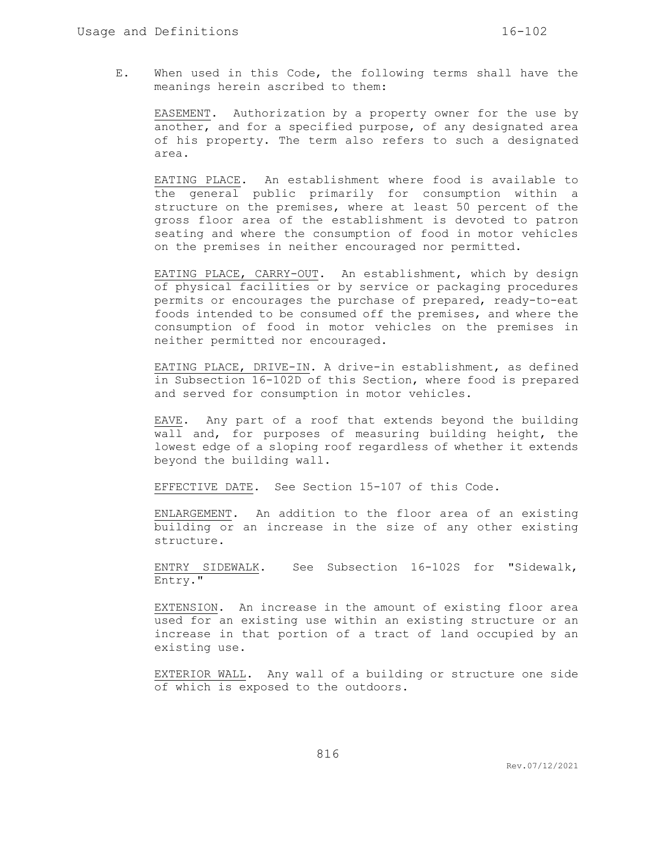E. When used in this Code, the following terms shall have the meanings herein ascribed to them:

EASEMENT. Authorization by a property owner for the use by another, and for a specified purpose, of any designated area of his property. The term also refers to such a designated area.

EATING PLACE. An establishment where food is available to the general public primarily for consumption within a structure on the premises, where at least 50 percent of the gross floor area of the establishment is devoted to patron seating and where the consumption of food in motor vehicles on the premises in neither encouraged nor permitted.

EATING PLACE, CARRY-OUT. An establishment, which by design of physical facilities or by service or packaging procedures permits or encourages the purchase of prepared, ready-to-eat foods intended to be consumed off the premises, and where the consumption of food in motor vehicles on the premises in neither permitted nor encouraged.

EATING PLACE, DRIVE-IN. A drive-in establishment, as defined in Subsection 16-102D of this Section, where food is prepared and served for consumption in motor vehicles.

EAVE. Any part of a roof that extends beyond the building wall and, for purposes of measuring building height, the lowest edge of a sloping roof regardless of whether it extends beyond the building wall.

EFFECTIVE DATE. See Section 15-107 of this Code.

ENLARGEMENT. An addition to the floor area of an existing building or an increase in the size of any other existing structure.

ENTRY SIDEWALK. See Subsection 16-102S for "Sidewalk, Entry."

EXTENSION. An increase in the amount of existing floor area used for an existing use within an existing structure or an increase in that portion of a tract of land occupied by an existing use.

EXTERIOR WALL. Any wall of a building or structure one side of which is exposed to the outdoors.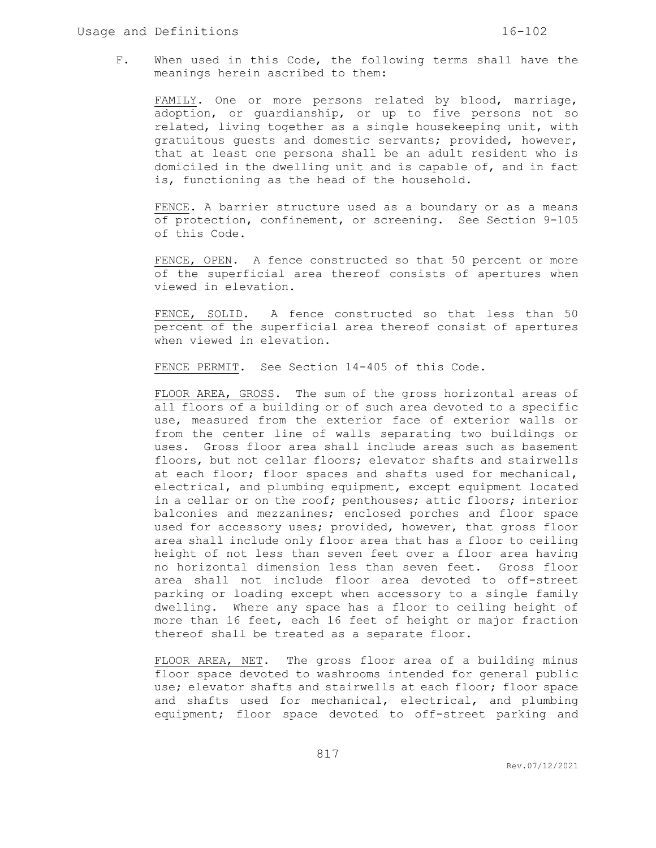F. When used in this Code, the following terms shall have the meanings herein ascribed to them:

FAMILY. One or more persons related by blood, marriage, adoption, or guardianship, or up to five persons not so related, living together as a single housekeeping unit, with gratuitous guests and domestic servants; provided, however, that at least one persona shall be an adult resident who is domiciled in the dwelling unit and is capable of, and in fact is, functioning as the head of the household.

FENCE. A barrier structure used as a boundary or as a means of protection, confinement, or screening. See Section 9-105 of this Code.

FENCE, OPEN. A fence constructed so that 50 percent or more of the superficial area thereof consists of apertures when viewed in elevation.

FENCE, SOLID. A fence constructed so that less than 50 percent of the superficial area thereof consist of apertures when viewed in elevation.

FENCE PERMIT. See Section 14-405 of this Code.

FLOOR AREA, GROSS. The sum of the gross horizontal areas of all floors of a building or of such area devoted to a specific use, measured from the exterior face of exterior walls or from the center line of walls separating two buildings or uses. Gross floor area shall include areas such as basement floors, but not cellar floors; elevator shafts and stairwells at each floor; floor spaces and shafts used for mechanical, electrical, and plumbing equipment, except equipment located in a cellar or on the roof; penthouses; attic floors; interior balconies and mezzanines; enclosed porches and floor space used for accessory uses; provided, however, that gross floor area shall include only floor area that has a floor to ceiling height of not less than seven feet over a floor area having no horizontal dimension less than seven feet. Gross floor area shall not include floor area devoted to off-street parking or loading except when accessory to a single family dwelling. Where any space has a floor to ceiling height of more than 16 feet, each 16 feet of height or major fraction thereof shall be treated as a separate floor.

FLOOR AREA, NET. The gross floor area of a building minus floor space devoted to washrooms intended for general public use; elevator shafts and stairwells at each floor; floor space and shafts used for mechanical, electrical, and plumbing equipment; floor space devoted to off-street parking and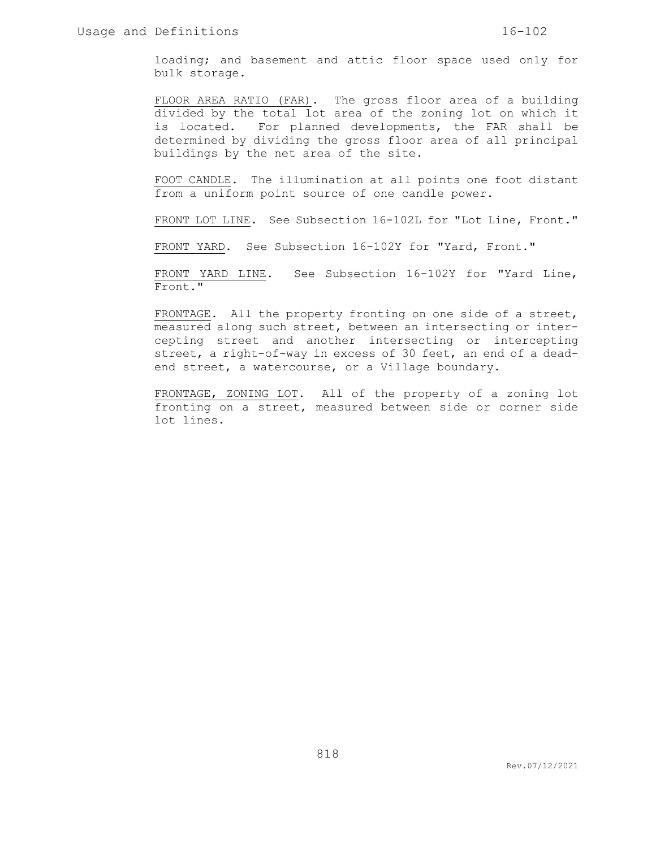loading; and basement and attic floor space used only for bulk storage.

FLOOR AREA RATIO (FAR). The gross floor area of a building divided by the total lot area of the zoning lot on which it is located. For planned developments, the FAR shall be determined by dividing the gross floor area of all principal buildings by the net area of the site.

FOOT CANDLE. The illumination at all points one foot distant from a uniform point source of one candle power.

FRONT LOT LINE. See Subsection 16-102L for "Lot Line, Front."

FRONT YARD. See Subsection 16-102Y for "Yard, Front."

FRONT YARD LINE. See Subsection 16-102Y for "Yard Line, Front."

FRONTAGE. All the property fronting on one side of a street, measured along such street, between an intersecting or intercepting street and another intersecting or intercepting street, a right-of-way in excess of 30 feet, an end of a deadend street, a watercourse, or a Village boundary.

FRONTAGE, ZONING LOT. All of the property of a zoning lot fronting on a street, measured between side or corner side lot lines.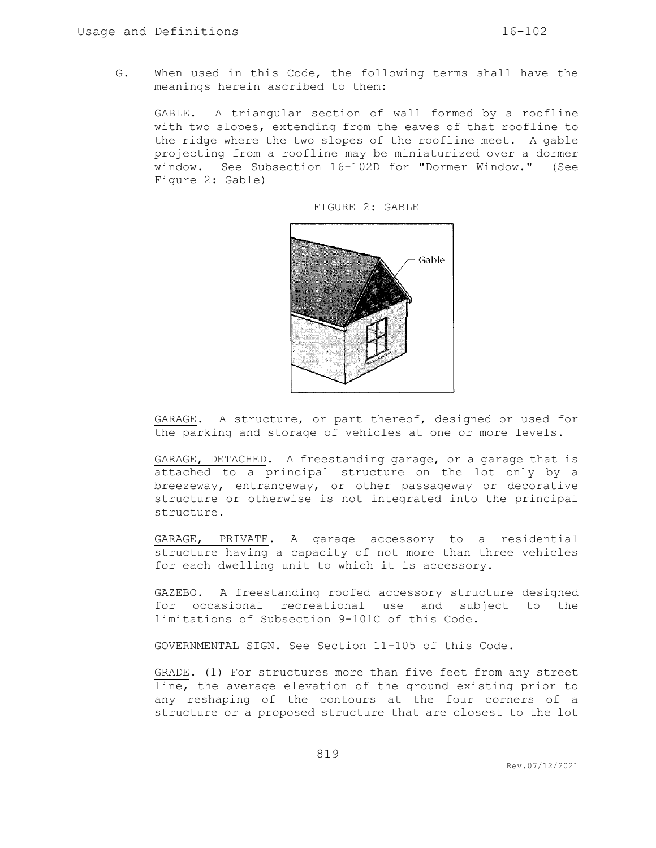G. When used in this Code, the following terms shall have the meanings herein ascribed to them:

GABLE. A triangular section of wall formed by a roofline with two slopes, extending from the eaves of that roofline to the ridge where the two slopes of the roofline meet. A gable projecting from a roofline may be miniaturized over a dormer window. See Subsection 16-102D for "Dormer Window." (See Figure 2: Gable)



FIGURE 2: GABLE

GARAGE. A structure, or part thereof, designed or used for the parking and storage of vehicles at one or more levels.

GARAGE, DETACHED. A freestanding garage, or a garage that is attached to a principal structure on the lot only by a breezeway, entranceway, or other passageway or decorative structure or otherwise is not integrated into the principal structure.

GARAGE, PRIVATE. A garage accessory to a residential structure having a capacity of not more than three vehicles for each dwelling unit to which it is accessory.

GAZEBO. A freestanding roofed accessory structure designed for occasional recreational use and subject to the limitations of Subsection 9-101C of this Code.

GOVERNMENTAL SIGN. See Section 11-105 of this Code.

GRADE. (1) For structures more than five feet from any street line, the average elevation of the ground existing prior to any reshaping of the contours at the four corners of a structure or a proposed structure that are closest to the lot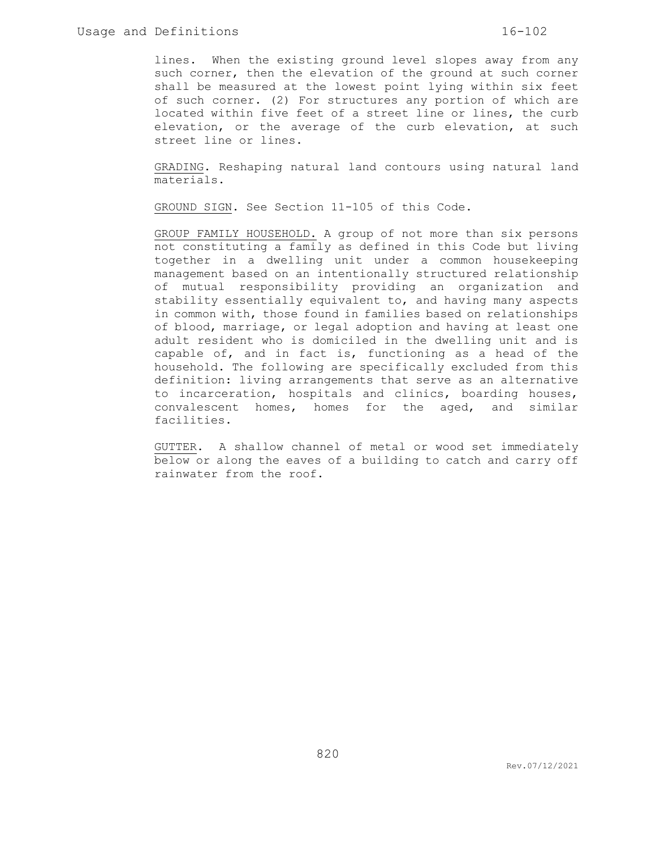lines. When the existing ground level slopes away from any such corner, then the elevation of the ground at such corner shall be measured at the lowest point lying within six feet of such corner. (2) For structures any portion of which are located within five feet of a street line or lines, the curb elevation, or the average of the curb elevation, at such street line or lines.

GRADING. Reshaping natural land contours using natural land materials.

GROUND SIGN. See Section 11-105 of this Code.

GROUP FAMILY HOUSEHOLD. A group of not more than six persons not constituting a family as defined in this Code but living together in a dwelling unit under a common housekeeping management based on an intentionally structured relationship of mutual responsibility providing an organization and stability essentially equivalent to, and having many aspects in common with, those found in families based on relationships of blood, marriage, or legal adoption and having at least one adult resident who is domiciled in the dwelling unit and is capable of, and in fact is, functioning as a head of the household. The following are specifically excluded from this definition: living arrangements that serve as an alternative to incarceration, hospitals and clinics, boarding houses, convalescent homes, homes for the aged, and similar facilities.

GUTTER. A shallow channel of metal or wood set immediately below or along the eaves of a building to catch and carry off rainwater from the roof.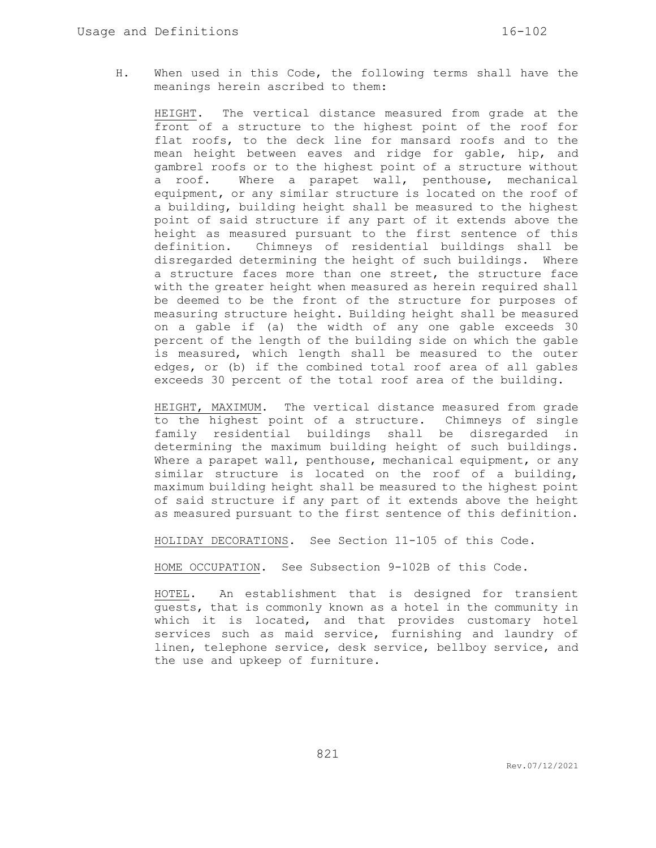H. When used in this Code, the following terms shall have the meanings herein ascribed to them:

HEIGHT. The vertical distance measured from grade at the front of a structure to the highest point of the roof for flat roofs, to the deck line for mansard roofs and to the mean height between eaves and ridge for gable, hip, and gambrel roofs or to the highest point of a structure without a roof. Where a parapet wall, penthouse, mechanical equipment, or any similar structure is located on the roof of a building, building height shall be measured to the highest point of said structure if any part of it extends above the height as measured pursuant to the first sentence of this definition. Chimneys of residential buildings shall be disregarded determining the height of such buildings. Where a structure faces more than one street, the structure face with the greater height when measured as herein required shall be deemed to be the front of the structure for purposes of measuring structure height. Building height shall be measured on a gable if (a) the width of any one gable exceeds 30 percent of the length of the building side on which the gable is measured, which length shall be measured to the outer edges, or (b) if the combined total roof area of all gables exceeds 30 percent of the total roof area of the building.

HEIGHT, MAXIMUM. The vertical distance measured from grade to the highest point of a structure. Chimneys of single family residential buildings shall be disregarded in determining the maximum building height of such buildings. Where a parapet wall, penthouse, mechanical equipment, or any similar structure is located on the roof of a building, maximum building height shall be measured to the highest point of said structure if any part of it extends above the height as measured pursuant to the first sentence of this definition.

HOLIDAY DECORATIONS. See Section 11-105 of this Code.

HOME OCCUPATION. See Subsection 9-102B of this Code.

HOTEL. An establishment that is designed for transient guests, that is commonly known as a hotel in the community in which it is located, and that provides customary hotel services such as maid service, furnishing and laundry of linen, telephone service, desk service, bellboy service, and the use and upkeep of furniture.

821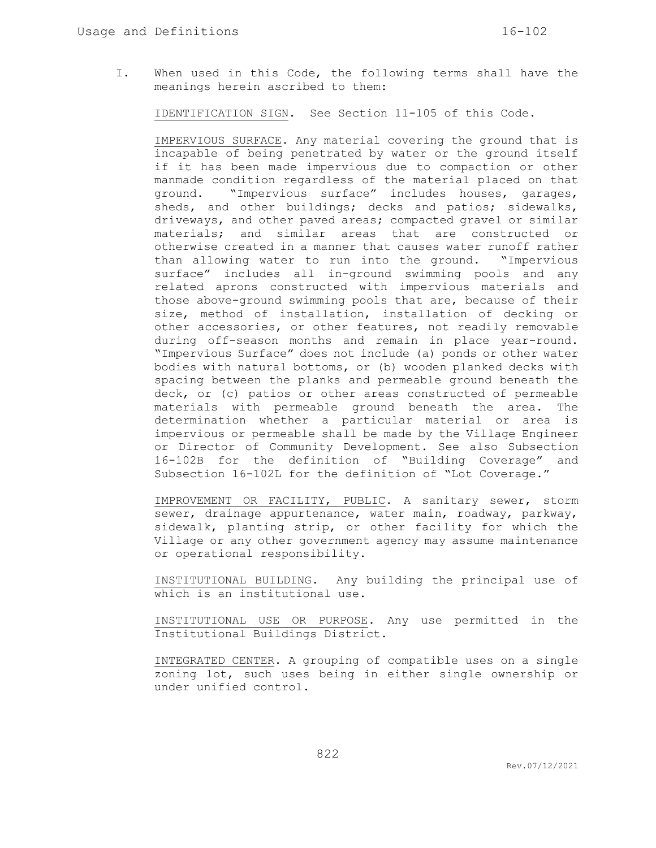I. When used in this Code, the following terms shall have the meanings herein ascribed to them:

IDENTIFICATION SIGN. See Section 11-105 of this Code.

IMPERVIOUS SURFACE. Any material covering the ground that is incapable of being penetrated by water or the ground itself if it has been made impervious due to compaction or other manmade condition regardless of the material placed on that ground. "Impervious surface" includes houses, garages, sheds, and other buildings; decks and patios; sidewalks, driveways, and other paved areas; compacted gravel or similar materials; and similar areas that are constructed or otherwise created in a manner that causes water runoff rather than allowing water to run into the ground. "Impervious surface" includes all in-ground swimming pools and any related aprons constructed with impervious materials and those above-ground swimming pools that are, because of their size, method of installation, installation of decking or other accessories, or other features, not readily removable during off-season months and remain in place year-round. "Impervious Surface" does not include (a) ponds or other water bodies with natural bottoms, or (b) wooden planked decks with spacing between the planks and permeable ground beneath the deck, or (c) patios or other areas constructed of permeable materials with permeable ground beneath the area. The determination whether a particular material or area is impervious or permeable shall be made by the Village Engineer or Director of Community Development. See also Subsection 16-102B for the definition of "Building Coverage" and Subsection 16-102L for the definition of "Lot Coverage."

IMPROVEMENT OR FACILITY, PUBLIC. A sanitary sewer, storm sewer, drainage appurtenance, water main, roadway, parkway, sidewalk, planting strip, or other facility for which the Village or any other government agency may assume maintenance or operational responsibility.

INSTITUTIONAL BUILDING. Any building the principal use of which is an institutional use.

INSTITUTIONAL USE OR PURPOSE. Any use permitted in the Institutional Buildings District.

INTEGRATED CENTER. A grouping of compatible uses on a single zoning lot, such uses being in either single ownership or under unified control.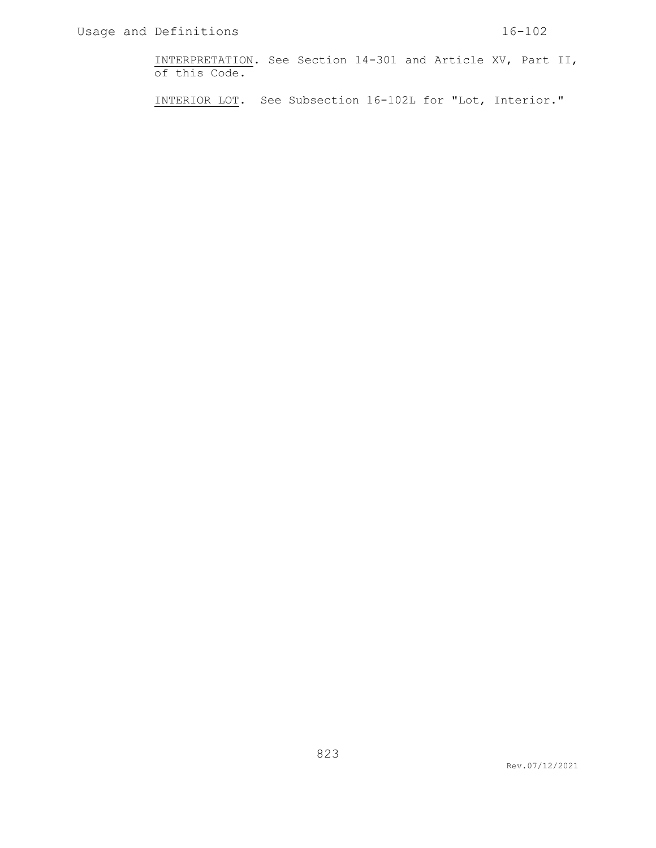INTERPRETATION. See Section 14-301 and Article XV, Part II, of this Code.

INTERIOR LOT. See Subsection 16-102L for "Lot, Interior."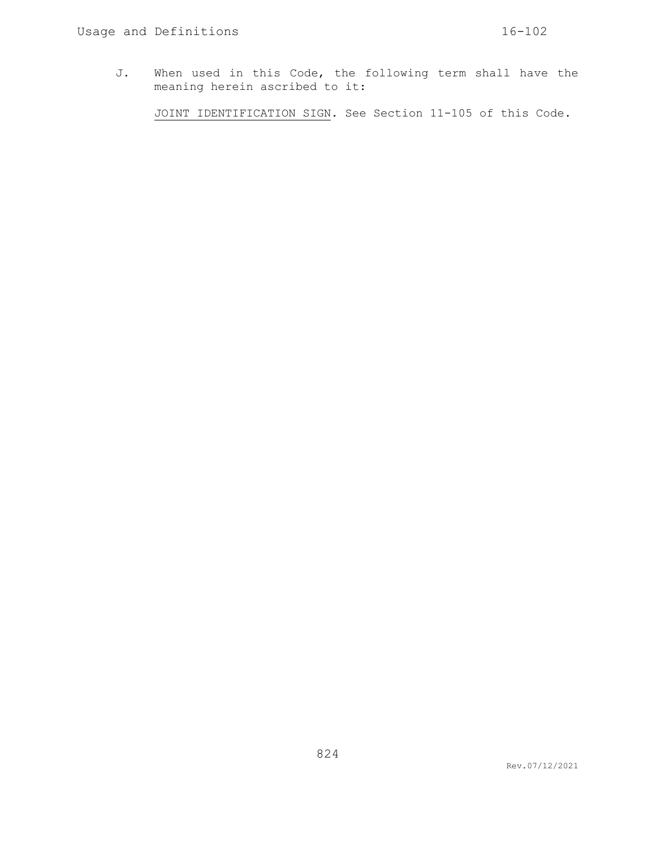J. When used in this Code, the following term shall have the meaning herein ascribed to it:

JOINT IDENTIFICATION SIGN. See Section 11-105 of this Code.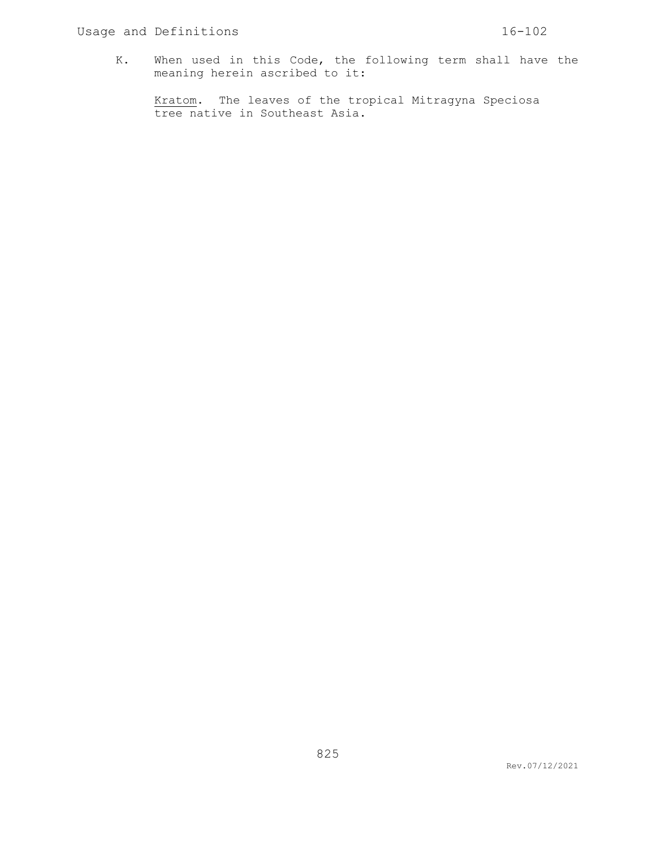K. When used in this Code, the following term shall have the meaning herein ascribed to it:

Kratom. The leaves of the tropical Mitragyna Speciosa tree native in Southeast Asia.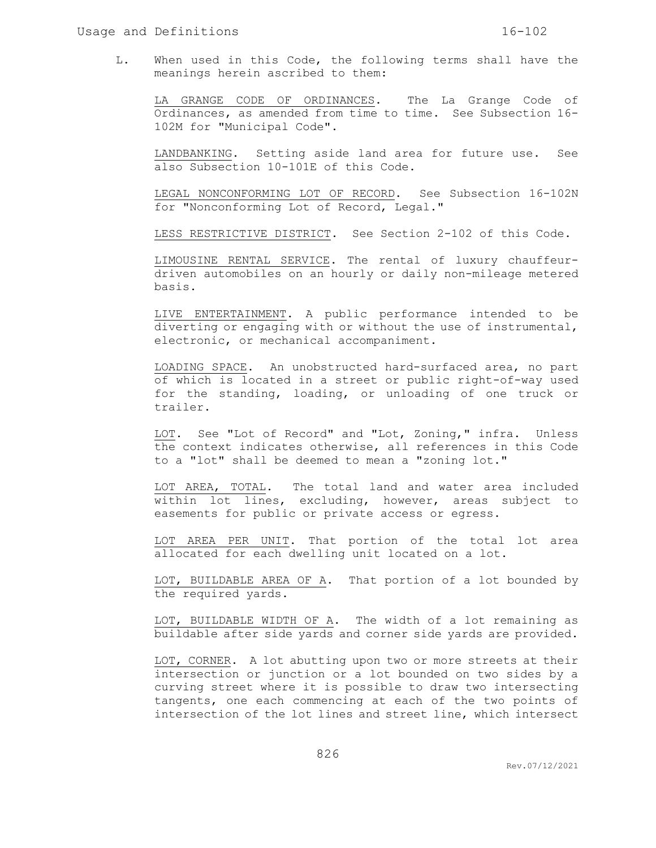L. When used in this Code, the following terms shall have the meanings herein ascribed to them:

LA GRANGE CODE OF ORDINANCES. The La Grange Code of Ordinances, as amended from time to time. See Subsection 16- 102M for "Municipal Code".

LANDBANKING. Setting aside land area for future use. See also Subsection 10-101E of this Code.

LEGAL NONCONFORMING LOT OF RECORD. See Subsection 16-102N for "Nonconforming Lot of Record, Legal."

LESS RESTRICTIVE DISTRICT. See Section 2-102 of this Code.

LIMOUSINE RENTAL SERVICE. The rental of luxury chauffeurdriven automobiles on an hourly or daily non-mileage metered basis.

LIVE ENTERTAINMENT. A public performance intended to be diverting or engaging with or without the use of instrumental, electronic, or mechanical accompaniment.

LOADING SPACE. An unobstructed hard-surfaced area, no part of which is located in a street or public right-of-way used for the standing, loading, or unloading of one truck or trailer.

LOT. See "Lot of Record" and "Lot, Zoning," infra. Unless the context indicates otherwise, all references in this Code to a "lot" shall be deemed to mean a "zoning lot."

LOT AREA, TOTAL. The total land and water area included within lot lines, excluding, however, areas subject to easements for public or private access or egress.

LOT AREA PER UNIT. That portion of the total lot area allocated for each dwelling unit located on a lot.

LOT, BUILDABLE AREA OF A. That portion of a lot bounded by the required yards.

LOT, BUILDABLE WIDTH OF A. The width of a lot remaining as buildable after side yards and corner side yards are provided.

LOT, CORNER. A lot abutting upon two or more streets at their intersection or junction or a lot bounded on two sides by a curving street where it is possible to draw two intersecting tangents, one each commencing at each of the two points of intersection of the lot lines and street line, which intersect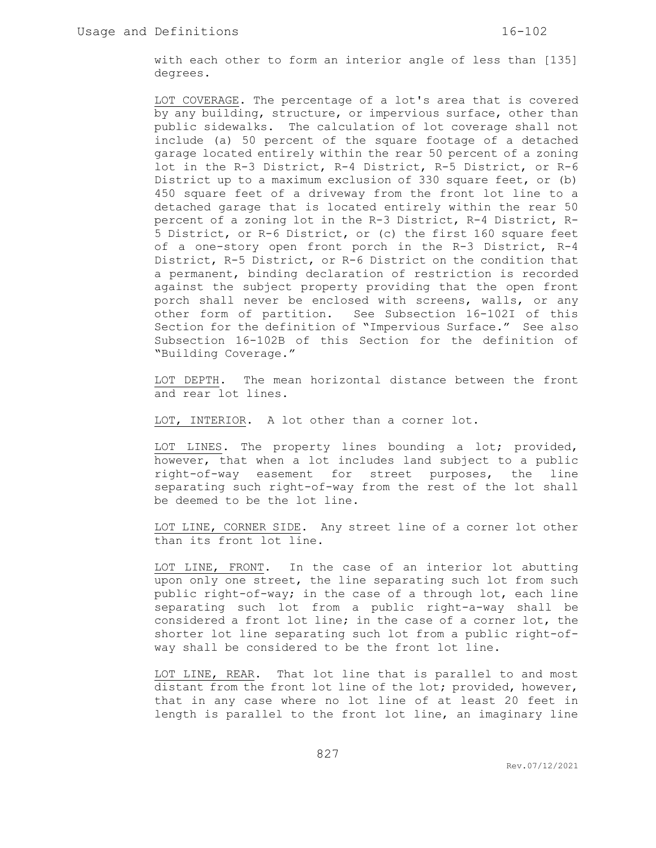with each other to form an interior angle of less than [135] degrees.

LOT COVERAGE. The percentage of a lot's area that is covered by any building, structure, or impervious surface, other than public sidewalks. The calculation of lot coverage shall not include (a) 50 percent of the square footage of a detached garage located entirely within the rear 50 percent of a zoning lot in the R-3 District, R-4 District, R-5 District, or R-6 District up to a maximum exclusion of 330 square feet, or (b) 450 square feet of a driveway from the front lot line to a detached garage that is located entirely within the rear 50 percent of a zoning lot in the R-3 District, R-4 District, R-5 District, or R-6 District, or (c) the first 160 square feet of a one-story open front porch in the R-3 District, R-4 District, R-5 District, or R-6 District on the condition that a permanent, binding declaration of restriction is recorded against the subject property providing that the open front porch shall never be enclosed with screens, walls, or any other form of partition. See Subsection 16-102I of this Section for the definition of "Impervious Surface." See also Subsection 16-102B of this Section for the definition of "Building Coverage."

LOT DEPTH. The mean horizontal distance between the front and rear lot lines.

LOT, INTERIOR. A lot other than a corner lot.

LOT LINES. The property lines bounding a lot; provided, however, that when a lot includes land subject to a public right-of-way easement for street purposes, the line separating such right-of-way from the rest of the lot shall be deemed to be the lot line.

LOT LINE, CORNER SIDE. Any street line of a corner lot other than its front lot line.

LOT LINE, FRONT. In the case of an interior lot abutting upon only one street, the line separating such lot from such public right-of-way; in the case of a through lot, each line separating such lot from a public right-a-way shall be considered a front lot line; in the case of a corner lot, the shorter lot line separating such lot from a public right-ofway shall be considered to be the front lot line.

LOT LINE, REAR. That lot line that is parallel to and most distant from the front lot line of the lot; provided, however, that in any case where no lot line of at least 20 feet in length is parallel to the front lot line, an imaginary line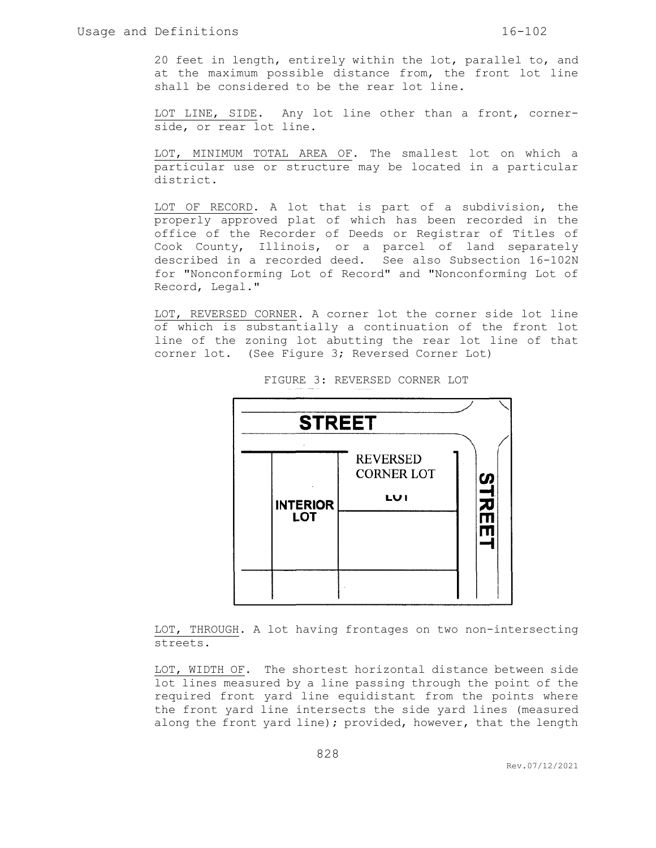20 feet in length, entirely within the lot, parallel to, and at the maximum possible distance from, the front lot line shall be considered to be the rear lot line.

LOT LINE, SIDE. Any lot line other than a front, cornerside, or rear lot line.

LOT, MINIMUM TOTAL AREA OF. The smallest lot on which a particular use or structure may be located in a particular district.

LOT OF RECORD. A lot that is part of a subdivision, the properly approved plat of which has been recorded in the office of the Recorder of Deeds or Registrar of Titles of Cook County, Illinois, or a parcel of land separately described in a recorded deed. See also Subsection 16-102N for "Nonconforming Lot of Record" and "Nonconforming Lot of Record, Legal."

LOT, REVERSED CORNER. A corner lot the corner side lot line of which is substantially a continuation of the front lot line of the zoning lot abutting the rear lot line of that corner lot. (See Figure 3; Reversed Corner Lot)



FIGURE 3: REVERSED CORNER LOT

LOT, THROUGH. A lot having frontages on two non-intersecting streets.

LOT, WIDTH OF. The shortest horizontal distance between side lot lines measured by a line passing through the point of the required front yard line equidistant from the points where the front yard line intersects the side yard lines (measured along the front yard line); provided, however, that the length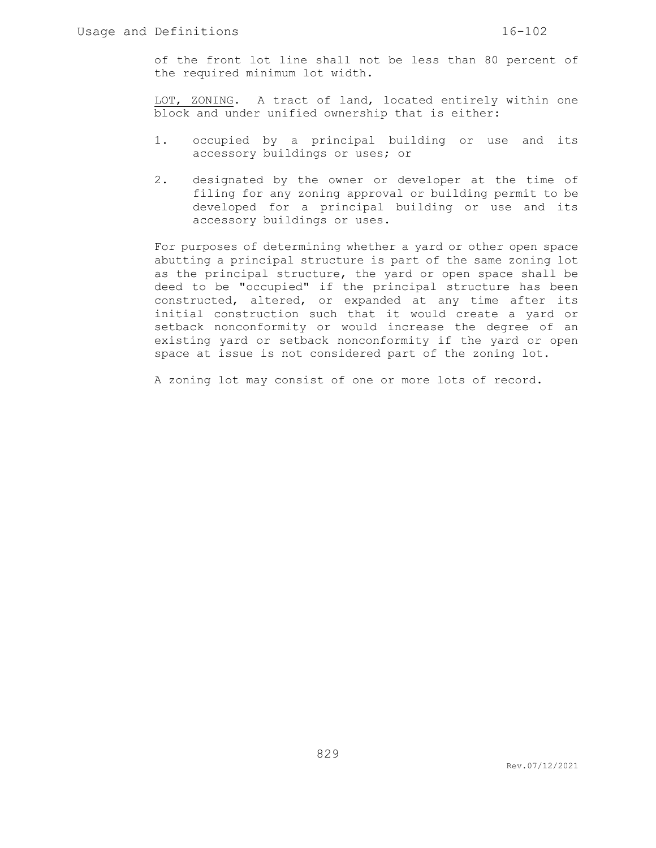of the front lot line shall not be less than 80 percent of the required minimum lot width.

LOT, ZONING. A tract of land, located entirely within one block and under unified ownership that is either:

- 1. occupied by a principal building or use and its accessory buildings or uses; or
- 2. designated by the owner or developer at the time of filing for any zoning approval or building permit to be developed for a principal building or use and its accessory buildings or uses.

For purposes of determining whether a yard or other open space abutting a principal structure is part of the same zoning lot as the principal structure, the yard or open space shall be deed to be "occupied" if the principal structure has been constructed, altered, or expanded at any time after its initial construction such that it would create a yard or setback nonconformity or would increase the degree of an existing yard or setback nonconformity if the yard or open space at issue is not considered part of the zoning lot.

A zoning lot may consist of one or more lots of record.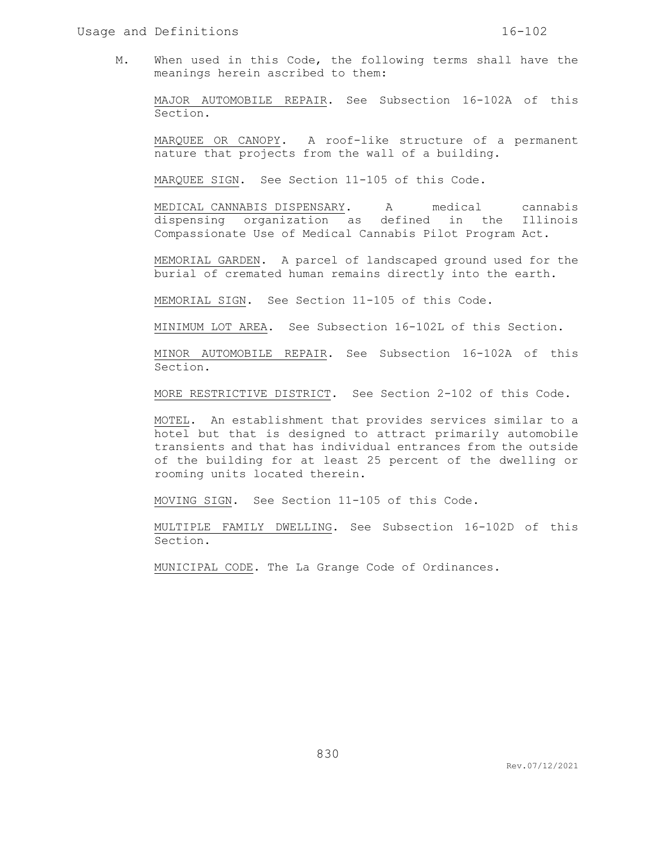M. When used in this Code, the following terms shall have the meanings herein ascribed to them:

MAJOR AUTOMOBILE REPAIR. See Subsection 16-102A of this Section.

MARQUEE OR CANOPY. A roof-like structure of a permanent nature that projects from the wall of a building.

MARQUEE SIGN. See Section 11-105 of this Code.

MEDICAL CANNABIS DISPENSARY. A medical cannabis dispensing organization as defined in the Illinois Compassionate Use of Medical Cannabis Pilot Program Act.

MEMORIAL GARDEN. A parcel of landscaped ground used for the burial of cremated human remains directly into the earth.

MEMORIAL SIGN. See Section 11-105 of this Code.

MINIMUM LOT AREA. See Subsection 16-102L of this Section.

MINOR AUTOMOBILE REPAIR. See Subsection 16-102A of this Section.

MORE RESTRICTIVE DISTRICT. See Section 2-102 of this Code.

MOTEL. An establishment that provides services similar to a hotel but that is designed to attract primarily automobile transients and that has individual entrances from the outside of the building for at least 25 percent of the dwelling or rooming units located therein.

MOVING SIGN. See Section 11-105 of this Code.

MULTIPLE FAMILY DWELLING. See Subsection 16-102D of this Section.

MUNICIPAL CODE. The La Grange Code of Ordinances.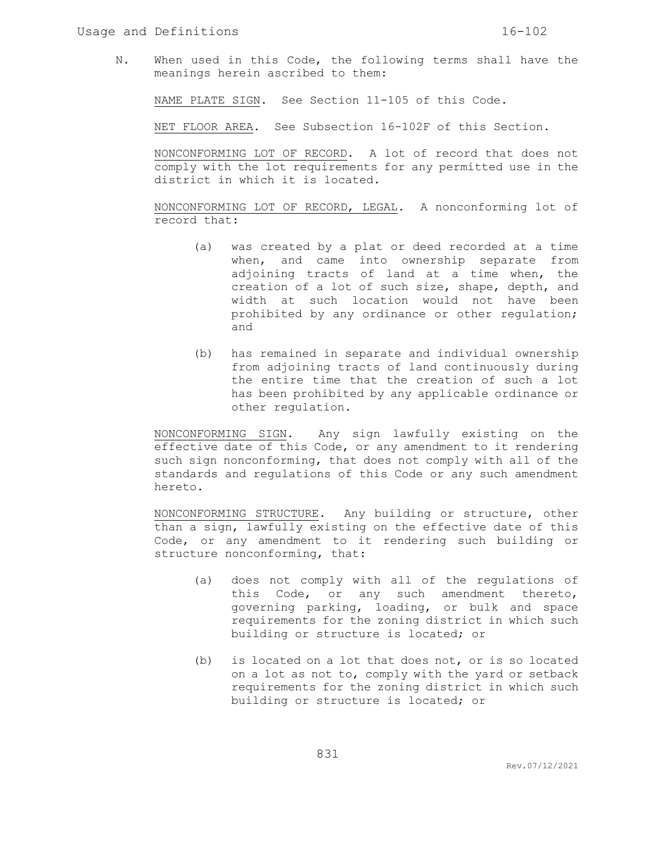N. When used in this Code, the following terms shall have the meanings herein ascribed to them:

NAME PLATE SIGN. See Section 11-105 of this Code.

NET FLOOR AREA. See Subsection 16-102F of this Section.

NONCONFORMING LOT OF RECORD. A lot of record that does not comply with the lot requirements for any permitted use in the district in which it is located.

NONCONFORMING LOT OF RECORD, LEGAL. A nonconforming lot of record that:

- (a) was created by a plat or deed recorded at a time when, and came into ownership separate from adjoining tracts of land at a time when, the creation of a lot of such size, shape, depth, and width at such location would not have been prohibited by any ordinance or other regulation; and
- (b) has remained in separate and individual ownership from adjoining tracts of land continuously during the entire time that the creation of such a lot has been prohibited by any applicable ordinance or other regulation.

NONCONFORMING SIGN. Any sign lawfully existing on the effective date of this Code, or any amendment to it rendering such sign nonconforming, that does not comply with all of the standards and regulations of this Code or any such amendment hereto.

NONCONFORMING STRUCTURE. Any building or structure, other than a sign, lawfully existing on the effective date of this Code, or any amendment to it rendering such building or structure nonconforming, that:

- (a) does not comply with all of the regulations of this Code, or any such amendment thereto, governing parking, loading, or bulk and space requirements for the zoning district in which such building or structure is located; or
- (b) is located on a lot that does not, or is so located on a lot as not to, comply with the yard or setback requirements for the zoning district in which such building or structure is located; or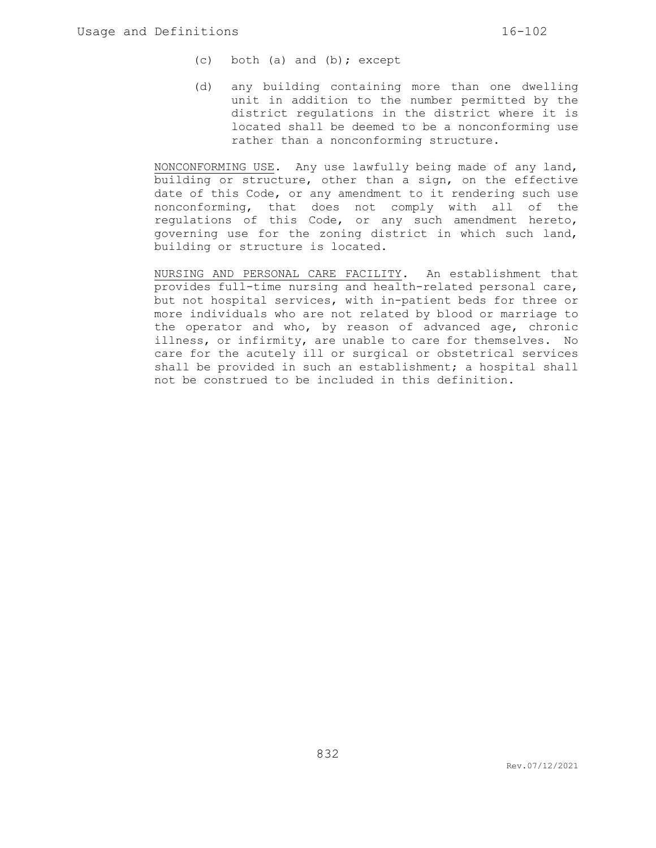- (c) both (a) and (b); except
- (d) any building containing more than one dwelling unit in addition to the number permitted by the district regulations in the district where it is located shall be deemed to be a nonconforming use rather than a nonconforming structure.

NONCONFORMING USE. Any use lawfully being made of any land, building or structure, other than a sign, on the effective date of this Code, or any amendment to it rendering such use nonconforming, that does not comply with all of the regulations of this Code, or any such amendment hereto, governing use for the zoning district in which such land, building or structure is located.

NURSING AND PERSONAL CARE FACILITY. An establishment that provides full-time nursing and health-related personal care, but not hospital services, with in-patient beds for three or more individuals who are not related by blood or marriage to the operator and who, by reason of advanced age, chronic illness, or infirmity, are unable to care for themselves. No care for the acutely ill or surgical or obstetrical services shall be provided in such an establishment; a hospital shall not be construed to be included in this definition.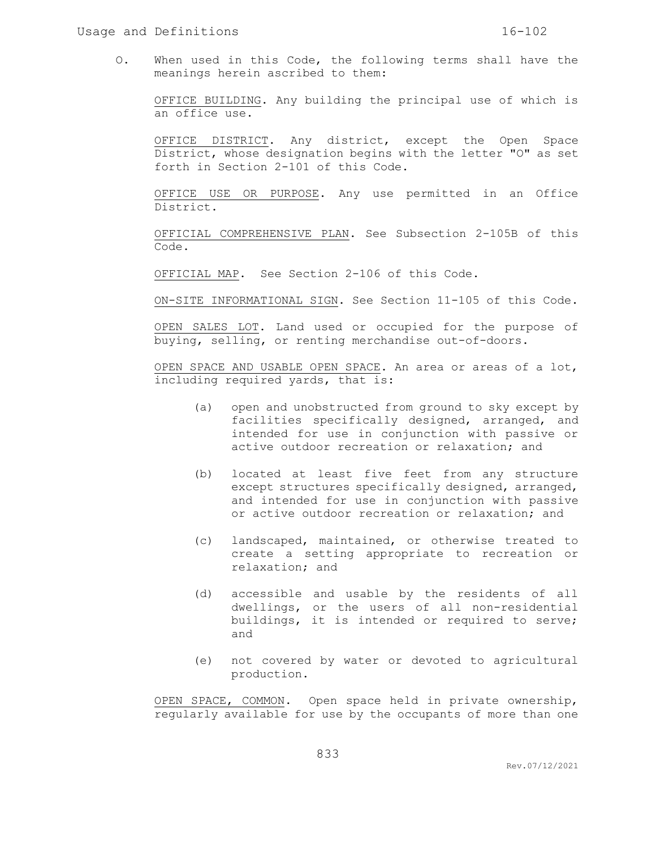O. When used in this Code, the following terms shall have the meanings herein ascribed to them:

OFFICE BUILDING. Any building the principal use of which is an office use.

OFFICE DISTRICT. Any district, except the Open Space District, whose designation begins with the letter "O" as set forth in Section 2-101 of this Code.

OFFICE USE OR PURPOSE. Any use permitted in an Office District.

OFFICIAL COMPREHENSIVE PLAN. See Subsection 2-105B of this Code.

OFFICIAL MAP. See Section 2-106 of this Code.

ON-SITE INFORMATIONAL SIGN. See Section 11-105 of this Code.

OPEN SALES LOT. Land used or occupied for the purpose of buying, selling, or renting merchandise out-of-doors.

OPEN SPACE AND USABLE OPEN SPACE. An area or areas of a lot, including required yards, that is:

- (a) open and unobstructed from ground to sky except by facilities specifically designed, arranged, and intended for use in conjunction with passive or active outdoor recreation or relaxation; and
- (b) located at least five feet from any structure except structures specifically designed, arranged, and intended for use in conjunction with passive or active outdoor recreation or relaxation; and
- (c) landscaped, maintained, or otherwise treated to create a setting appropriate to recreation or relaxation; and
- (d) accessible and usable by the residents of all dwellings, or the users of all non-residential buildings, it is intended or required to serve; and
- (e) not covered by water or devoted to agricultural production.

OPEN SPACE, COMMON. Open space held in private ownership, regularly available for use by the occupants of more than one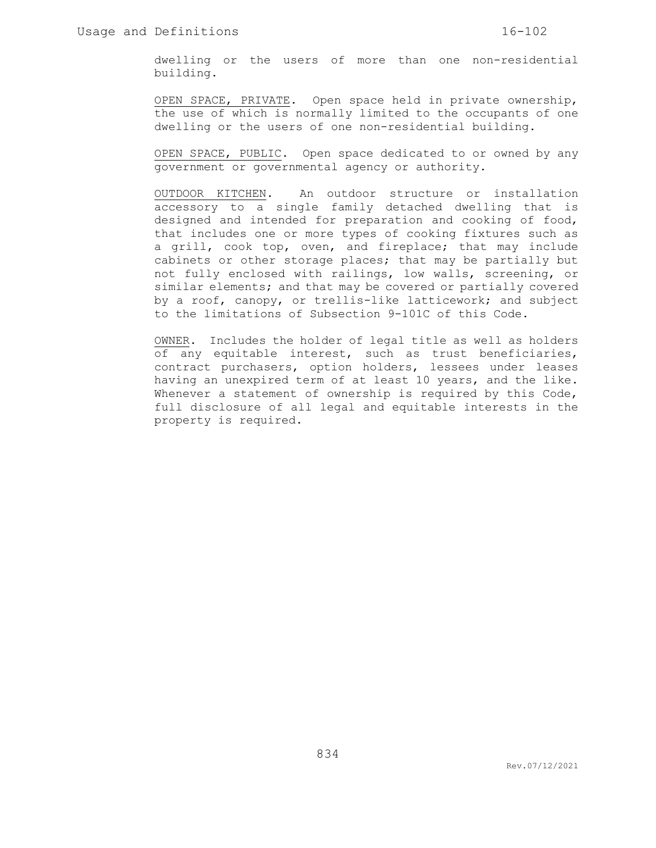dwelling or the users of more than one non-residential building.

OPEN SPACE, PRIVATE. Open space held in private ownership, the use of which is normally limited to the occupants of one dwelling or the users of one non-residential building.

OPEN SPACE, PUBLIC. Open space dedicated to or owned by any government or governmental agency or authority.

OUTDOOR KITCHEN. An outdoor structure or installation accessory to a single family detached dwelling that is designed and intended for preparation and cooking of food, that includes one or more types of cooking fixtures such as a grill, cook top, oven, and fireplace; that may include cabinets or other storage places; that may be partially but not fully enclosed with railings, low walls, screening, or similar elements; and that may be covered or partially covered by a roof, canopy, or trellis-like latticework; and subject to the limitations of Subsection 9-101C of this Code.

OWNER. Includes the holder of legal title as well as holders of any equitable interest, such as trust beneficiaries, contract purchasers, option holders, lessees under leases having an unexpired term of at least 10 years, and the like. Whenever a statement of ownership is required by this Code, full disclosure of all legal and equitable interests in the property is required.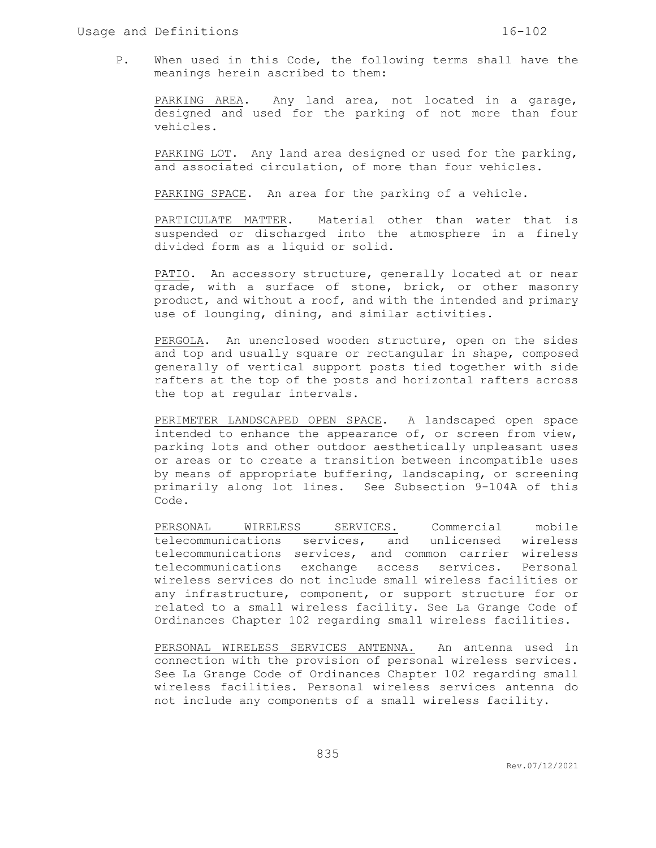P. When used in this Code, the following terms shall have the meanings herein ascribed to them:

PARKING AREA. Any land area, not located in a garage, designed and used for the parking of not more than four vehicles.

PARKING LOT. Any land area designed or used for the parking, and associated circulation, of more than four vehicles.

PARKING SPACE. An area for the parking of a vehicle.

PARTICULATE MATTER. Material other than water that is suspended or discharged into the atmosphere in a finely divided form as a liquid or solid.

PATIO. An accessory structure, generally located at or near grade, with a surface of stone, brick, or other masonry product, and without a roof, and with the intended and primary use of lounging, dining, and similar activities.

PERGOLA. An unenclosed wooden structure, open on the sides and top and usually square or rectangular in shape, composed generally of vertical support posts tied together with side rafters at the top of the posts and horizontal rafters across the top at regular intervals.

PERIMETER LANDSCAPED OPEN SPACE. A landscaped open space intended to enhance the appearance of, or screen from view, parking lots and other outdoor aesthetically unpleasant uses or areas or to create a transition between incompatible uses by means of appropriate buffering, landscaping, or screening primarily along lot lines. See Subsection 9-104A of this Code.

PERSONAL WIRELESS SERVICES. Commercial mobile telecommunications services, and unlicensed wireless telecommunications services, and common carrier wireless telecommunications exchange access services. Personal wireless services do not include small wireless facilities or any infrastructure, component, or support structure for or related to a small wireless facility. See La Grange Code of Ordinances Chapter 102 regarding small wireless facilities.

PERSONAL WIRELESS SERVICES ANTENNA. An antenna used in connection with the provision of personal wireless services. See La Grange Code of Ordinances Chapter 102 regarding small wireless facilities. Personal wireless services antenna do not include any components of a small wireless facility.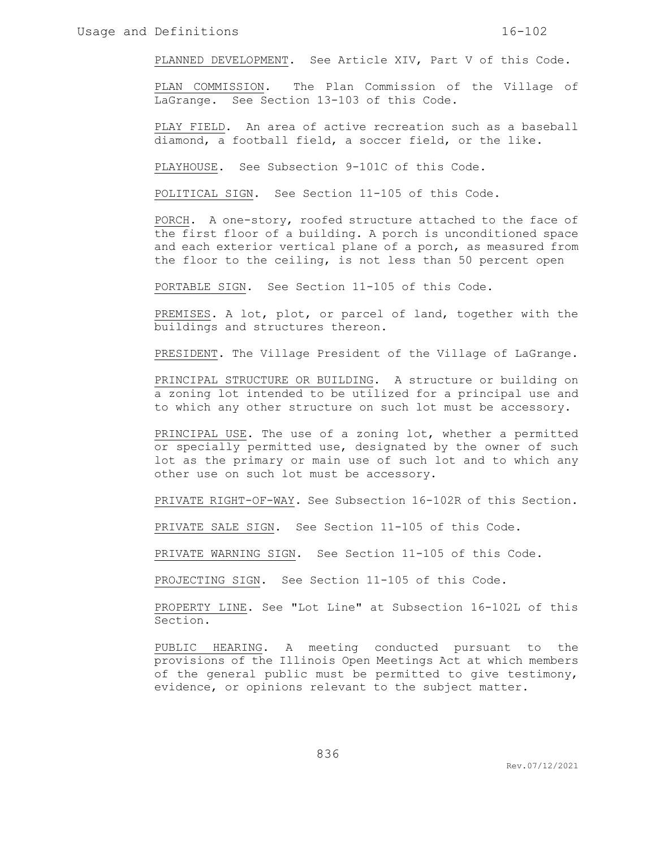PLANNED DEVELOPMENT. See Article XIV, Part V of this Code.

PLAN COMMISSION. The Plan Commission of the Village of LaGrange. See Section 13-103 of this Code.

PLAY FIELD. An area of active recreation such as a baseball diamond, a football field, a soccer field, or the like.

PLAYHOUSE. See Subsection 9-101C of this Code.

POLITICAL SIGN. See Section 11-105 of this Code.

PORCH. A one-story, roofed structure attached to the face of the first floor of a building. A porch is unconditioned space and each exterior vertical plane of a porch, as measured from the floor to the ceiling, is not less than 50 percent open

PORTABLE SIGN. See Section 11-105 of this Code.

PREMISES. A lot, plot, or parcel of land, together with the buildings and structures thereon.

PRESIDENT. The Village President of the Village of LaGrange.

PRINCIPAL STRUCTURE OR BUILDING. A structure or building on a zoning lot intended to be utilized for a principal use and to which any other structure on such lot must be accessory.

PRINCIPAL USE. The use of a zoning lot, whether a permitted or specially permitted use, designated by the owner of such lot as the primary or main use of such lot and to which any other use on such lot must be accessory.

PRIVATE RIGHT-OF-WAY. See Subsection 16-102R of this Section.

PRIVATE SALE SIGN. See Section 11-105 of this Code.

PRIVATE WARNING SIGN. See Section 11-105 of this Code.

PROJECTING SIGN. See Section 11-105 of this Code.

PROPERTY LINE. See "Lot Line" at Subsection 16-102L of this Section.

PUBLIC HEARING. A meeting conducted pursuant to the provisions of the Illinois Open Meetings Act at which members of the general public must be permitted to give testimony, evidence, or opinions relevant to the subject matter.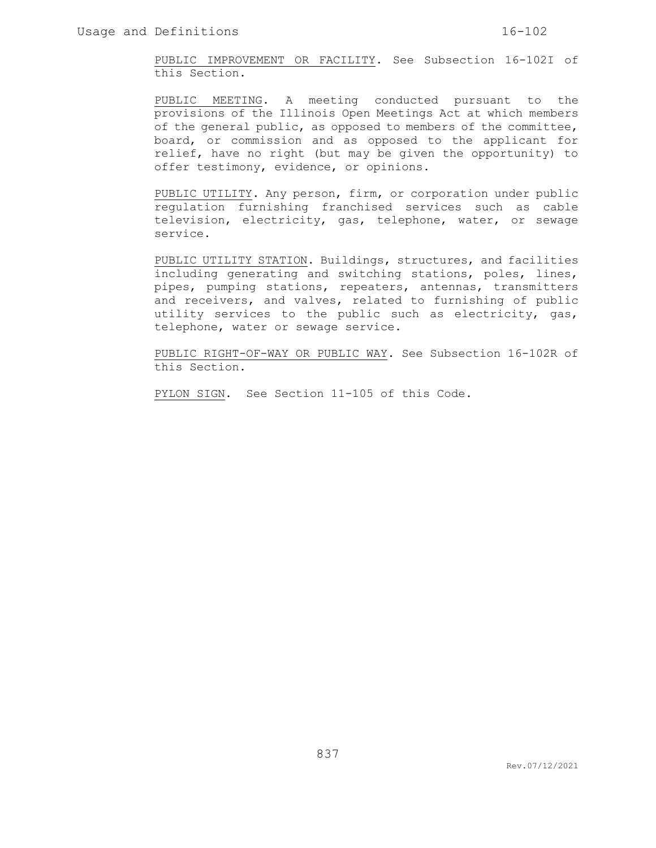PUBLIC IMPROVEMENT OR FACILITY. See Subsection 16-102I of this Section.

PUBLIC MEETING. A meeting conducted pursuant to the provisions of the Illinois Open Meetings Act at which members of the general public, as opposed to members of the committee, board, or commission and as opposed to the applicant for relief, have no right (but may be given the opportunity) to offer testimony, evidence, or opinions.

PUBLIC UTILITY. Any person, firm, or corporation under public regulation furnishing franchised services such as cable television, electricity, gas, telephone, water, or sewage service.

PUBLIC UTILITY STATION. Buildings, structures, and facilities including generating and switching stations, poles, lines, pipes, pumping stations, repeaters, antennas, transmitters and receivers, and valves, related to furnishing of public utility services to the public such as electricity, gas, telephone, water or sewage service.

PUBLIC RIGHT-OF-WAY OR PUBLIC WAY. See Subsection 16-102R of this Section.

PYLON SIGN. See Section 11-105 of this Code.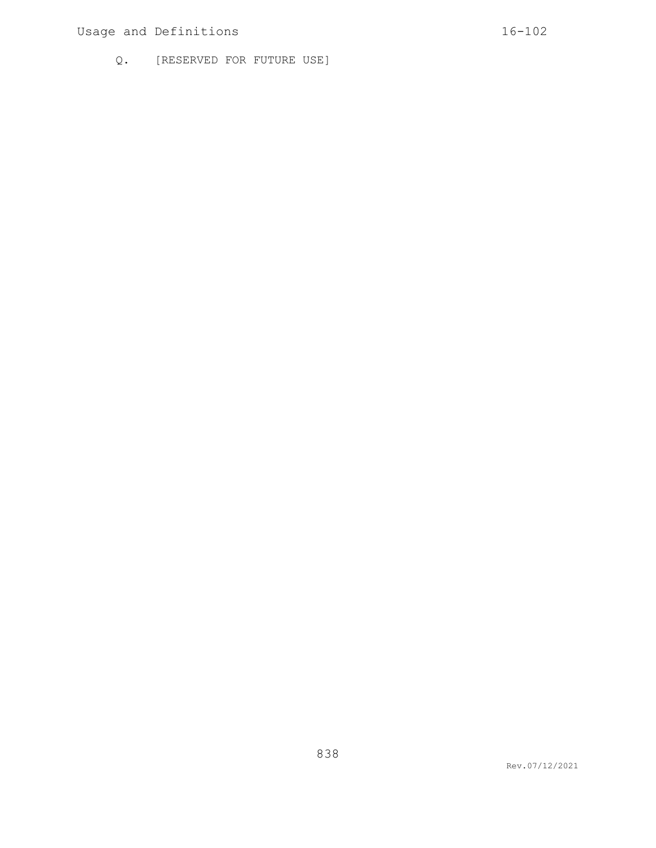# Usage and Definitions 16-102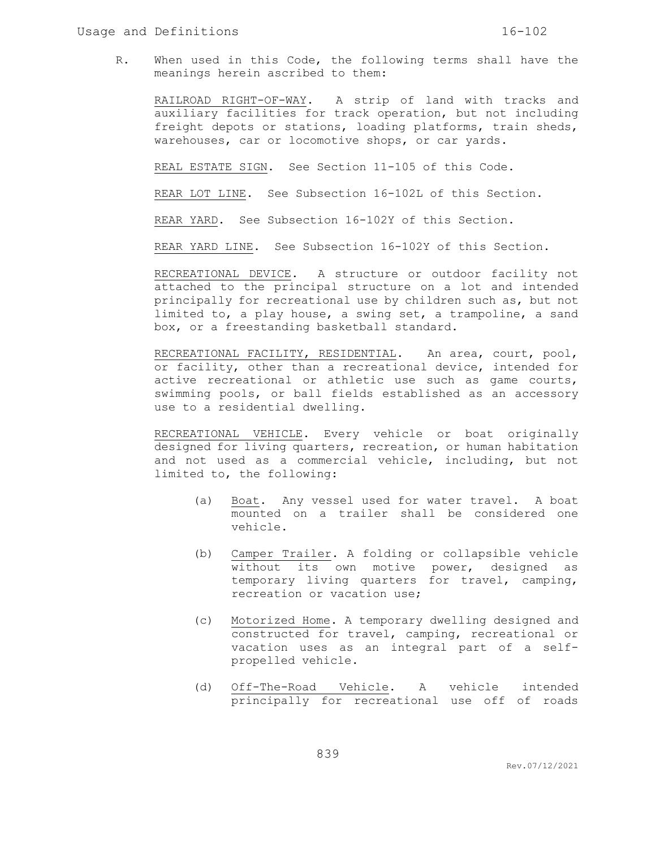R. When used in this Code, the following terms shall have the meanings herein ascribed to them:

RAILROAD RIGHT-OF-WAY. A strip of land with tracks and auxiliary facilities for track operation, but not including freight depots or stations, loading platforms, train sheds, warehouses, car or locomotive shops, or car yards.

REAL ESTATE SIGN. See Section 11-105 of this Code.

REAR LOT LINE. See Subsection 16-102L of this Section.

REAR YARD. See Subsection 16-102Y of this Section.

REAR YARD LINE. See Subsection 16-102Y of this Section.

RECREATIONAL DEVICE. A structure or outdoor facility not attached to the principal structure on a lot and intended principally for recreational use by children such as, but not limited to, a play house, a swing set, a trampoline, a sand box, or a freestanding basketball standard.

RECREATIONAL FACILITY, RESIDENTIAL. An area, court, pool, or facility, other than a recreational device, intended for active recreational or athletic use such as game courts, swimming pools, or ball fields established as an accessory use to a residential dwelling.

RECREATIONAL VEHICLE. Every vehicle or boat originally designed for living quarters, recreation, or human habitation and not used as a commercial vehicle, including, but not limited to, the following:

- (a) Boat. Any vessel used for water travel. A boat mounted on a trailer shall be considered one vehicle.
- (b) Camper Trailer. A folding or collapsible vehicle without its own motive power, designed as temporary living quarters for travel, camping, recreation or vacation use;
- (c) Motorized Home. A temporary dwelling designed and constructed for travel, camping, recreational or vacation uses as an integral part of a selfpropelled vehicle.
- (d) Off-The-Road Vehicle. A vehicle intended principally for recreational use off of roads

Rev.07/12/2021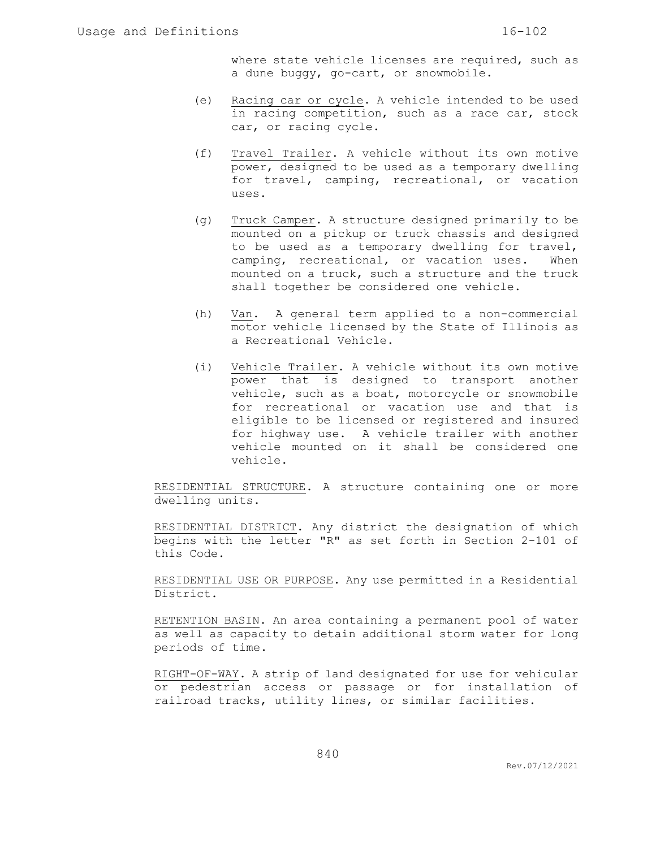where state vehicle licenses are required, such as a dune buggy, go-cart, or snowmobile.

- (e) Racing car or cycle. A vehicle intended to be used in racing competition, such as a race car, stock car, or racing cycle.
- (f) Travel Trailer. A vehicle without its own motive power, designed to be used as a temporary dwelling for travel, camping, recreational, or vacation uses.
- (g) Truck Camper. A structure designed primarily to be mounted on a pickup or truck chassis and designed to be used as a temporary dwelling for travel, camping, recreational, or vacation uses. When mounted on a truck, such a structure and the truck shall together be considered one vehicle.
- (h) Van. A general term applied to a non-commercial motor vehicle licensed by the State of Illinois as a Recreational Vehicle.
- (i) Vehicle Trailer. A vehicle without its own motive power that is designed to transport another vehicle, such as a boat, motorcycle or snowmobile for recreational or vacation use and that is eligible to be licensed or registered and insured for highway use. A vehicle trailer with another vehicle mounted on it shall be considered one vehicle.

RESIDENTIAL STRUCTURE. A structure containing one or more dwelling units.

RESIDENTIAL DISTRICT. Any district the designation of which begins with the letter "R" as set forth in Section 2-101 of this Code.

RESIDENTIAL USE OR PURPOSE. Any use permitted in a Residential District.

RETENTION BASIN. An area containing a permanent pool of water as well as capacity to detain additional storm water for long periods of time.

RIGHT-OF-WAY. A strip of land designated for use for vehicular or pedestrian access or passage or for installation of railroad tracks, utility lines, or similar facilities.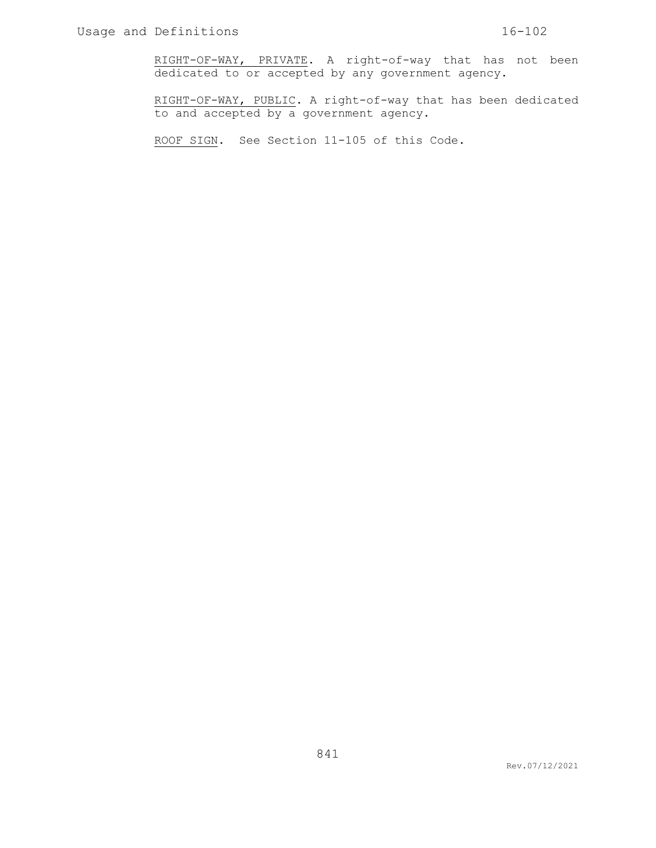RIGHT-OF-WAY, PRIVATE. A right-of-way that has not been dedicated to or accepted by any government agency.

RIGHT-OF-WAY, PUBLIC. A right-of-way that has been dedicated to and accepted by a government agency.

ROOF SIGN. See Section 11-105 of this Code.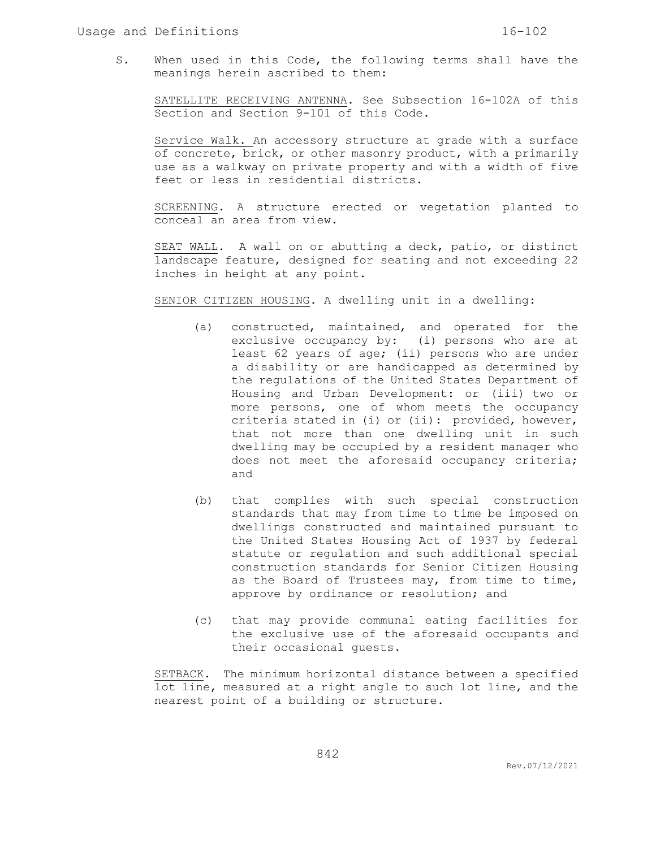S. When used in this Code, the following terms shall have the meanings herein ascribed to them:

SATELLITE RECEIVING ANTENNA. See Subsection 16-102A of this Section and Section 9-101 of this Code.

Service Walk. An accessory structure at grade with a surface of concrete, brick, or other masonry product, with a primarily use as a walkway on private property and with a width of five feet or less in residential districts.

SCREENING. A structure erected or vegetation planted to conceal an area from view.

SEAT WALL. A wall on or abutting a deck, patio, or distinct landscape feature, designed for seating and not exceeding 22 inches in height at any point.

SENIOR CITIZEN HOUSING. A dwelling unit in a dwelling:

- (a) constructed, maintained, and operated for the exclusive occupancy by: (i) persons who are at least 62 years of age; (ii) persons who are under a disability or are handicapped as determined by the regulations of the United States Department of Housing and Urban Development: or (iii) two or more persons, one of whom meets the occupancy criteria stated in (i) or (ii): provided, however, that not more than one dwelling unit in such dwelling may be occupied by a resident manager who does not meet the aforesaid occupancy criteria; and
- (b) that complies with such special construction standards that may from time to time be imposed on dwellings constructed and maintained pursuant to the United States Housing Act of 1937 by federal statute or regulation and such additional special construction standards for Senior Citizen Housing as the Board of Trustees may, from time to time, approve by ordinance or resolution; and
- (c) that may provide communal eating facilities for the exclusive use of the aforesaid occupants and their occasional guests.

SETBACK. The minimum horizontal distance between a specified lot line, measured at a right angle to such lot line, and the nearest point of a building or structure.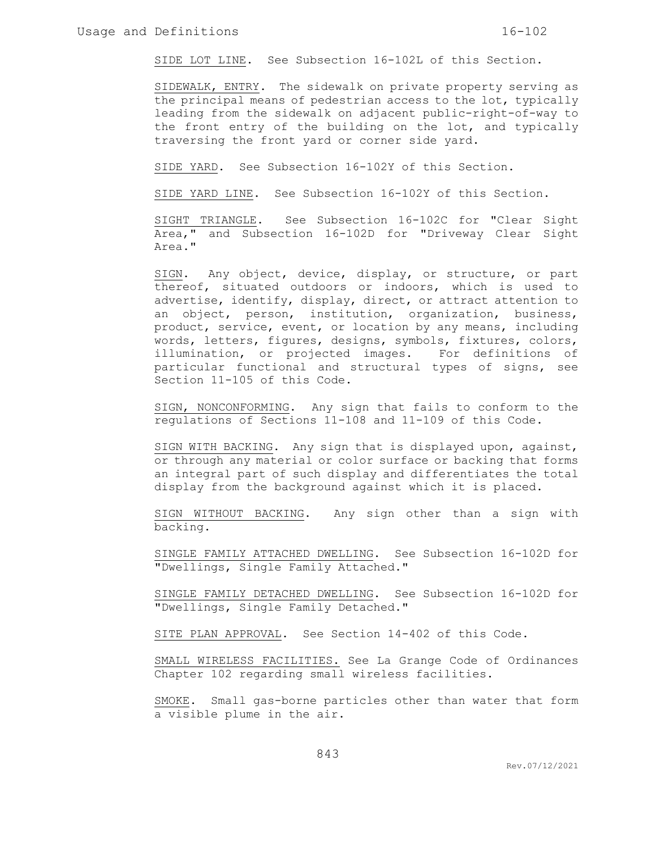SIDE LOT LINE. See Subsection 16-102L of this Section.

SIDEWALK, ENTRY. The sidewalk on private property serving as the principal means of pedestrian access to the lot, typically leading from the sidewalk on adjacent public-right-of-way to the front entry of the building on the lot, and typically traversing the front yard or corner side yard.

SIDE YARD. See Subsection 16-102Y of this Section.

SIDE YARD LINE. See Subsection 16-102Y of this Section.

SIGHT TRIANGLE. See Subsection 16-102C for "Clear Sight Area," and Subsection 16-102D for "Driveway Clear Sight Area."

SIGN. Any object, device, display, or structure, or part thereof, situated outdoors or indoors, which is used to advertise, identify, display, direct, or attract attention to an object, person, institution, organization, business, product, service, event, or location by any means, including words, letters, figures, designs, symbols, fixtures, colors, illumination, or projected images. For definitions of particular functional and structural types of signs, see Section 11-105 of this Code.

SIGN, NONCONFORMING. Any sign that fails to conform to the regulations of Sections 11-108 and 11-109 of this Code.

SIGN WITH BACKING. Any sign that is displayed upon, against, or through any material or color surface or backing that forms an integral part of such display and differentiates the total display from the background against which it is placed.

SIGN WITHOUT BACKING. Any sign other than a sign with backing.

SINGLE FAMILY ATTACHED DWELLING. See Subsection 16-102D for "Dwellings, Single Family Attached."

SINGLE FAMILY DETACHED DWELLING. See Subsection 16-102D for "Dwellings, Single Family Detached."

SITE PLAN APPROVAL. See Section 14-402 of this Code.

SMALL WIRELESS FACILITIES. See La Grange Code of Ordinances Chapter 102 regarding small wireless facilities.

SMOKE. Small gas-borne particles other than water that form a visible plume in the air.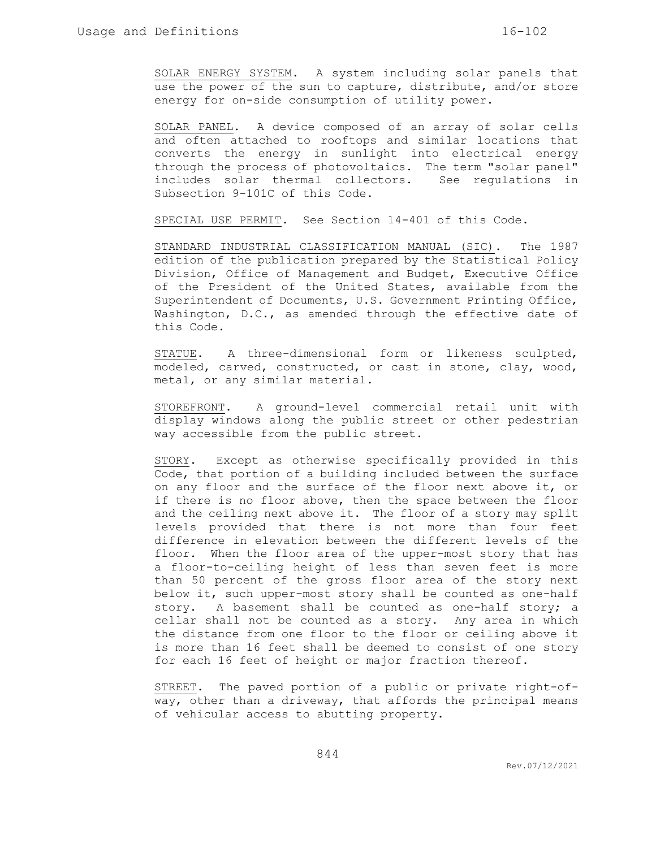SOLAR ENERGY SYSTEM. A system including solar panels that use the power of the sun to capture, distribute, and/or store energy for on-side consumption of utility power.

SOLAR PANEL. A device composed of an array of solar cells and often attached to rooftops and similar locations that converts the energy in sunlight into electrical energy through the process of photovoltaics. The term "solar panel" includes solar thermal collectors. See regulations in Subsection 9-101C of this Code.

SPECIAL USE PERMIT. See Section 14-401 of this Code.

STANDARD INDUSTRIAL CLASSIFICATION MANUAL (SIC). The 1987 edition of the publication prepared by the Statistical Policy Division, Office of Management and Budget, Executive Office of the President of the United States, available from the Superintendent of Documents, U.S. Government Printing Office, Washington, D.C., as amended through the effective date of this Code.

STATUE. A three-dimensional form or likeness sculpted, modeled, carved, constructed, or cast in stone, clay, wood, metal, or any similar material.

STOREFRONT. A ground-level commercial retail unit with display windows along the public street or other pedestrian way accessible from the public street.

STORY. Except as otherwise specifically provided in this Code, that portion of a building included between the surface on any floor and the surface of the floor next above it, or if there is no floor above, then the space between the floor and the ceiling next above it. The floor of a story may split levels provided that there is not more than four feet difference in elevation between the different levels of the floor. When the floor area of the upper-most story that has a floor-to-ceiling height of less than seven feet is more than 50 percent of the gross floor area of the story next below it, such upper-most story shall be counted as one-half story. A basement shall be counted as one-half story; a cellar shall not be counted as a story. Any area in which the distance from one floor to the floor or ceiling above it is more than 16 feet shall be deemed to consist of one story for each 16 feet of height or major fraction thereof.

STREET. The paved portion of a public or private right-ofway, other than a driveway, that affords the principal means of vehicular access to abutting property.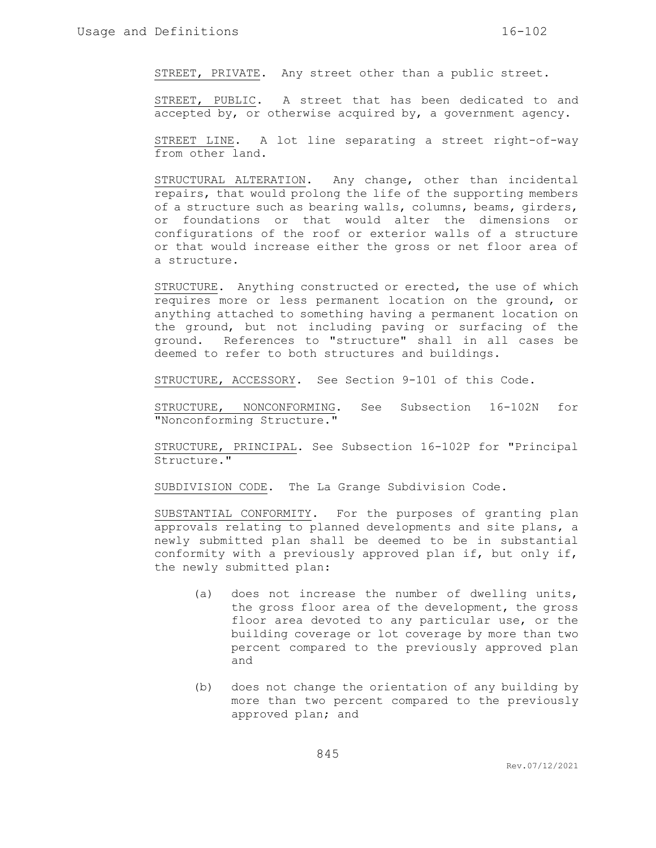STREET, PRIVATE. Any street other than a public street.

STREET, PUBLIC. A street that has been dedicated to and accepted by, or otherwise acquired by, a government agency.

STREET LINE. A lot line separating a street right-of-way from other land.

STRUCTURAL ALTERATION. Any change, other than incidental repairs, that would prolong the life of the supporting members of a structure such as bearing walls, columns, beams, girders, or foundations or that would alter the dimensions or configurations of the roof or exterior walls of a structure or that would increase either the gross or net floor area of a structure.

STRUCTURE. Anything constructed or erected, the use of which requires more or less permanent location on the ground, or anything attached to something having a permanent location on the ground, but not including paving or surfacing of the ground. References to "structure" shall in all cases be deemed to refer to both structures and buildings.

STRUCTURE, ACCESSORY. See Section 9-101 of this Code.

STRUCTURE, NONCONFORMING. See Subsection 16-102N for "Nonconforming Structure."

STRUCTURE, PRINCIPAL. See Subsection 16-102P for "Principal Structure."

SUBDIVISION CODE. The La Grange Subdivision Code.

SUBSTANTIAL CONFORMITY. For the purposes of granting plan approvals relating to planned developments and site plans, a newly submitted plan shall be deemed to be in substantial conformity with a previously approved plan if, but only if, the newly submitted plan:

- (a) does not increase the number of dwelling units, the gross floor area of the development, the gross floor area devoted to any particular use, or the building coverage or lot coverage by more than two percent compared to the previously approved plan and
- (b) does not change the orientation of any building by more than two percent compared to the previously approved plan; and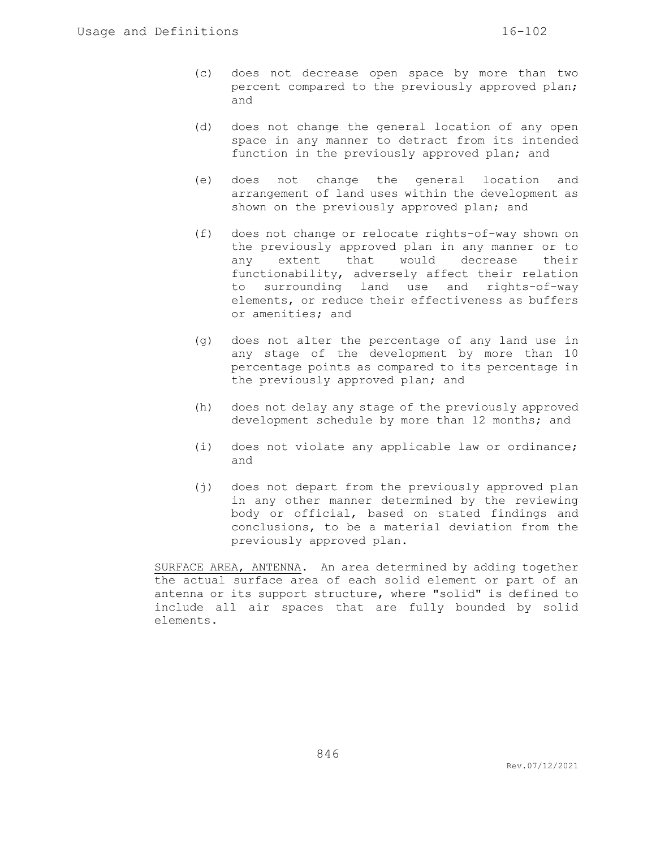- (c) does not decrease open space by more than two percent compared to the previously approved plan; and
- (d) does not change the general location of any open space in any manner to detract from its intended function in the previously approved plan; and
- (e) does not change the general location and arrangement of land uses within the development as shown on the previously approved plan; and
- (f) does not change or relocate rights-of-way shown on the previously approved plan in any manner or to any extent that would decrease their functionability, adversely affect their relation to surrounding land use and rights-of-way elements, or reduce their effectiveness as buffers or amenities; and
- (g) does not alter the percentage of any land use in any stage of the development by more than 10 percentage points as compared to its percentage in the previously approved plan; and
- (h) does not delay any stage of the previously approved development schedule by more than 12 months; and
- (i) does not violate any applicable law or ordinance; and
- (j) does not depart from the previously approved plan in any other manner determined by the reviewing body or official, based on stated findings and conclusions, to be a material deviation from the previously approved plan.

SURFACE AREA, ANTENNA. An area determined by adding together the actual surface area of each solid element or part of an antenna or its support structure, where "solid" is defined to include all air spaces that are fully bounded by solid elements.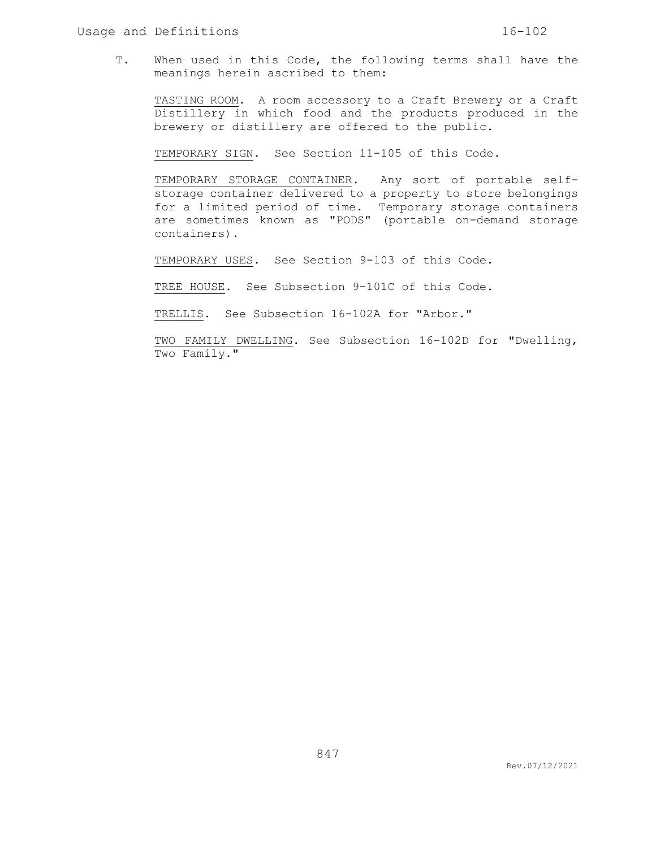T. When used in this Code, the following terms shall have the meanings herein ascribed to them:

TASTING ROOM. A room accessory to a Craft Brewery or a Craft Distillery in which food and the products produced in the brewery or distillery are offered to the public.

TEMPORARY SIGN. See Section 11-105 of this Code.

TEMPORARY STORAGE CONTAINER. Any sort of portable selfstorage container delivered to a property to store belongings for a limited period of time. Temporary storage containers are sometimes known as "PODS" (portable on-demand storage containers).

TEMPORARY USES. See Section 9-103 of this Code.

TREE HOUSE. See Subsection 9-101C of this Code.

TRELLIS. See Subsection 16-102A for "Arbor."

TWO FAMILY DWELLING. See Subsection 16-102D for "Dwelling, Two Family."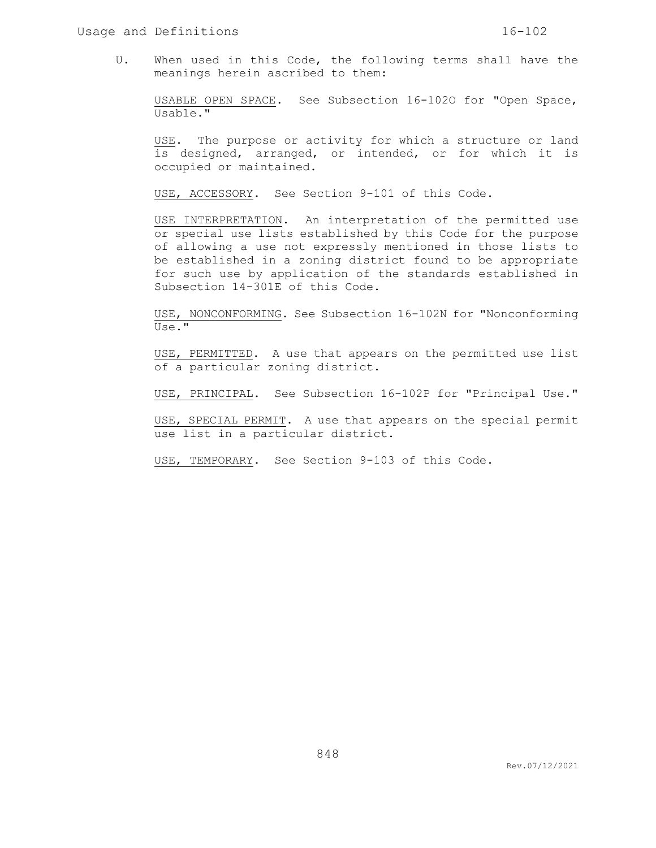U. When used in this Code, the following terms shall have the meanings herein ascribed to them:

USABLE OPEN SPACE. See Subsection 16-102O for "Open Space, Usable."

USE. The purpose or activity for which a structure or land is designed, arranged, or intended, or for which it is occupied or maintained.

USE, ACCESSORY. See Section 9-101 of this Code.

USE INTERPRETATION. An interpretation of the permitted use or special use lists established by this Code for the purpose of allowing a use not expressly mentioned in those lists to be established in a zoning district found to be appropriate for such use by application of the standards established in Subsection 14-301E of this Code.

USE, NONCONFORMING. See Subsection 16-102N for "Nonconforming Use."

USE, PERMITTED. A use that appears on the permitted use list of a particular zoning district.

USE, PRINCIPAL. See Subsection 16-102P for "Principal Use."

USE, SPECIAL PERMIT. A use that appears on the special permit use list in a particular district.

USE, TEMPORARY. See Section 9-103 of this Code.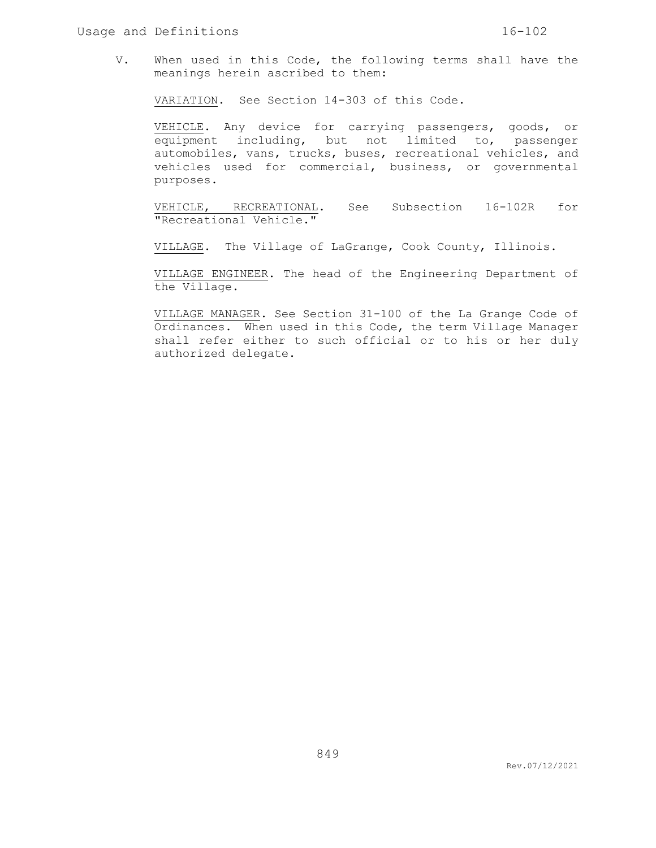V. When used in this Code, the following terms shall have the meanings herein ascribed to them:

VARIATION. See Section 14-303 of this Code.

VEHICLE. Any device for carrying passengers, goods, or equipment including, but not limited to, passenger automobiles, vans, trucks, buses, recreational vehicles, and vehicles used for commercial, business, or governmental purposes.

VEHICLE, RECREATIONAL. See Subsection 16-102R for "Recreational Vehicle."

VILLAGE. The Village of LaGrange, Cook County, Illinois.

VILLAGE ENGINEER. The head of the Engineering Department of the Village.

VILLAGE MANAGER. See Section 31-100 of the La Grange Code of Ordinances. When used in this Code, the term Village Manager shall refer either to such official or to his or her duly authorized delegate.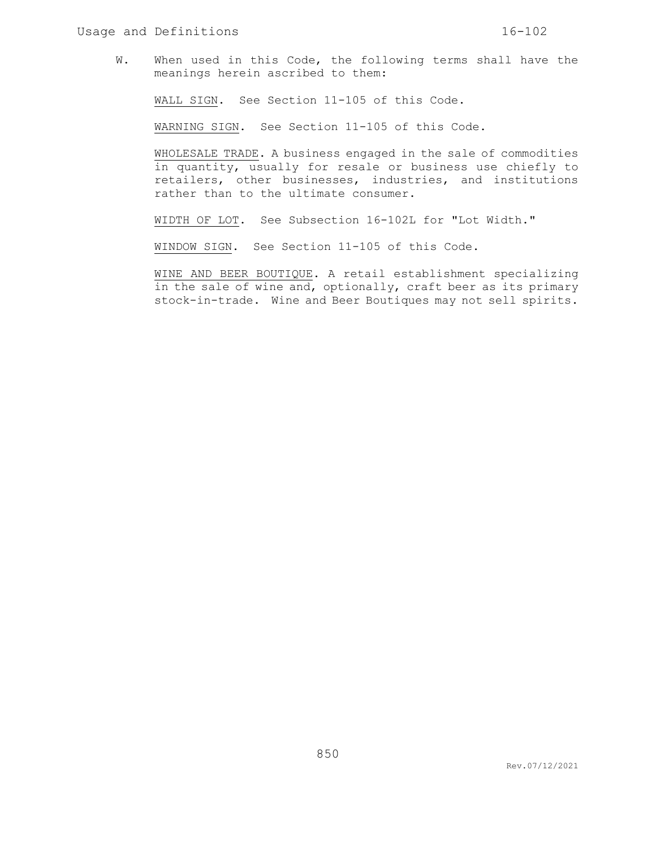W. When used in this Code, the following terms shall have the meanings herein ascribed to them:

WALL SIGN. See Section 11-105 of this Code.

WARNING SIGN. See Section 11-105 of this Code.

WHOLESALE TRADE. A business engaged in the sale of commodities in quantity, usually for resale or business use chiefly to retailers, other businesses, industries, and institutions rather than to the ultimate consumer.

WIDTH OF LOT. See Subsection 16-102L for "Lot Width."

WINDOW SIGN. See Section 11-105 of this Code.

WINE AND BEER BOUTIQUE. A retail establishment specializing in the sale of wine and, optionally, craft beer as its primary stock-in-trade. Wine and Beer Boutiques may not sell spirits.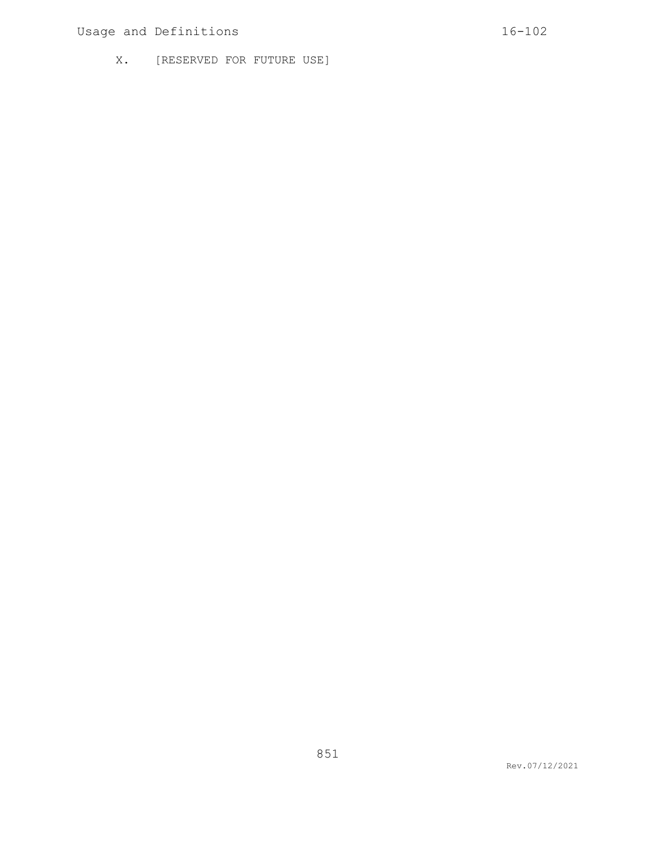# Usage and Definitions 16-102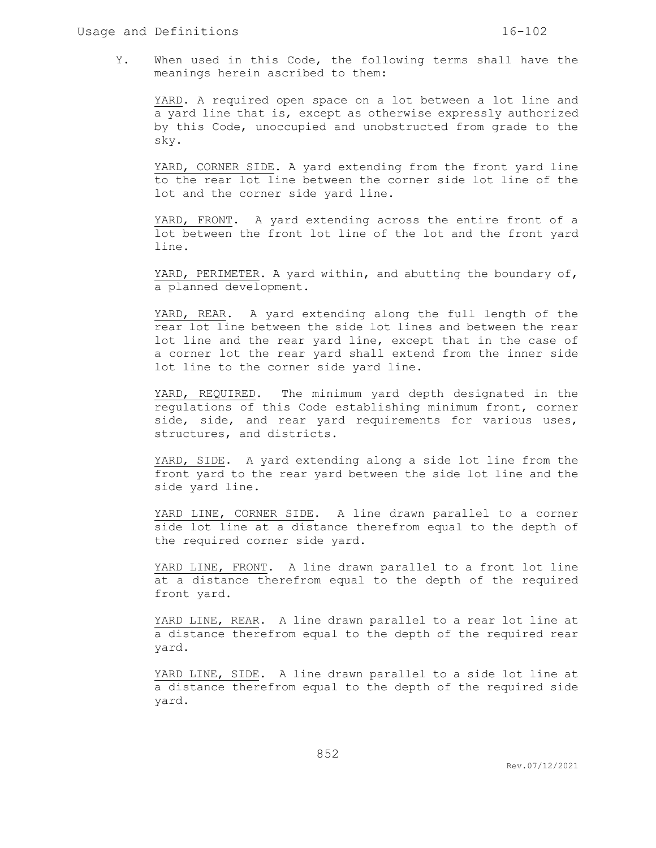Y. When used in this Code, the following terms shall have the meanings herein ascribed to them:

YARD. A required open space on a lot between a lot line and a yard line that is, except as otherwise expressly authorized by this Code, unoccupied and unobstructed from grade to the sky.

YARD, CORNER SIDE. A yard extending from the front yard line to the rear lot line between the corner side lot line of the lot and the corner side yard line.

YARD, FRONT. A yard extending across the entire front of a lot between the front lot line of the lot and the front yard line.

YARD, PERIMETER. A yard within, and abutting the boundary of, a planned development.

YARD, REAR. A yard extending along the full length of the rear lot line between the side lot lines and between the rear lot line and the rear yard line, except that in the case of a corner lot the rear yard shall extend from the inner side lot line to the corner side yard line.

YARD, REQUIRED. The minimum yard depth designated in the regulations of this Code establishing minimum front, corner side, side, and rear yard requirements for various uses, structures, and districts.

YARD, SIDE. A yard extending along a side lot line from the front yard to the rear yard between the side lot line and the side yard line.

YARD LINE, CORNER SIDE. A line drawn parallel to a corner side lot line at a distance therefrom equal to the depth of the required corner side yard.

YARD LINE, FRONT. A line drawn parallel to a front lot line at a distance therefrom equal to the depth of the required front yard.

YARD LINE, REAR. A line drawn parallel to a rear lot line at a distance therefrom equal to the depth of the required rear yard.

YARD LINE, SIDE. A line drawn parallel to a side lot line at a distance therefrom equal to the depth of the required side yard.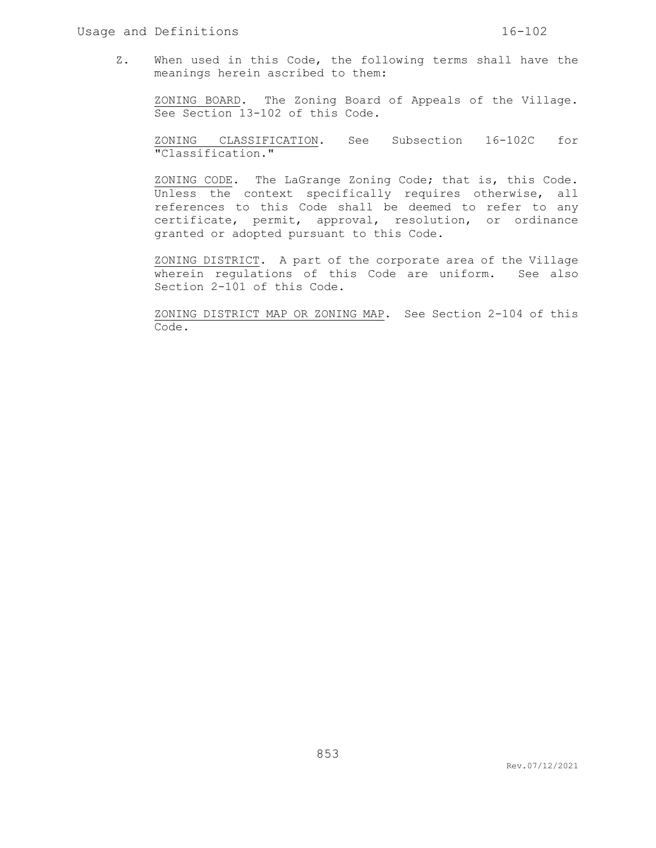Z. When used in this Code, the following terms shall have the meanings herein ascribed to them:

ZONING BOARD. The Zoning Board of Appeals of the Village. See Section 13-102 of this Code.

ZONING CLASSIFICATION. See Subsection 16-102C for "Classification."

ZONING CODE. The LaGrange Zoning Code; that is, this Code. Unless the context specifically requires otherwise, all references to this Code shall be deemed to refer to any certificate, permit, approval, resolution, or ordinance granted or adopted pursuant to this Code.

ZONING DISTRICT. A part of the corporate area of the Village wherein regulations of this Code are uniform. See also Section 2-101 of this Code.

ZONING DISTRICT MAP OR ZONING MAP. See Section 2-104 of this Code.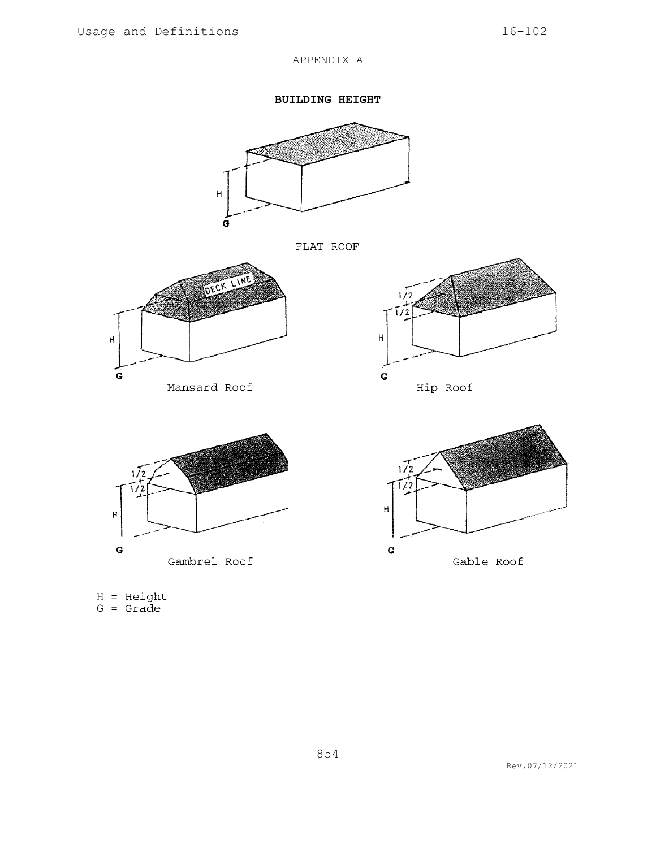## APPENDIX A

**BUILDING HEIGHT**



FLAT ROOF



Mansard Roof









 $H = Height$ <br> $G = Grade$